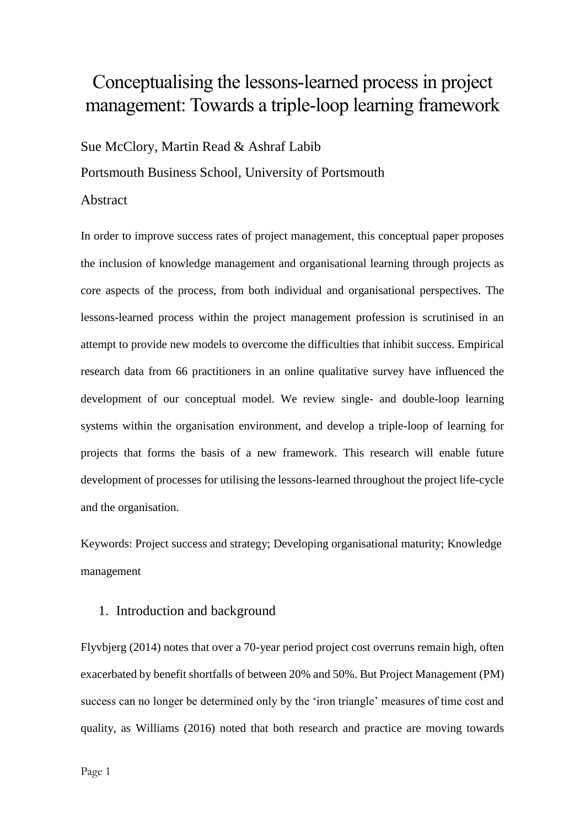# Conceptualising the lessons-learned process in project management: Towards a triple-loop learning framework

Sue McClory, Martin Read & Ashraf Labib

Portsmouth Business School, University of Portsmouth

## Abstract

In order to improve success rates of project management, this conceptual paper proposes the inclusion of knowledge management and organisational learning through projects as core aspects of the process, from both individual and organisational perspectives. The lessons-learned process within the project management profession is scrutinised in an attempt to provide new models to overcome the difficulties that inhibit success. Empirical research data from 66 practitioners in an online qualitative survey have influenced the development of our conceptual model. We review single- and double-loop learning systems within the organisation environment, and develop a triple-loop of learning for projects that forms the basis of a new framework. This research will enable future development of processes for utilising the lessons-learned throughout the project life-cycle and the organisation.

Keywords: Project success and strategy; Developing organisational maturity; Knowledge management

## 1. Introduction and background

Flyvbjerg (2014) notes that over a 70-year period project cost overruns remain high, often exacerbated by benefit shortfalls of between 20% and 50%. But Project Management (PM) success can no longer be determined only by the 'iron triangle' measures of time cost and quality, as Williams (2016) noted that both research and practice are moving towards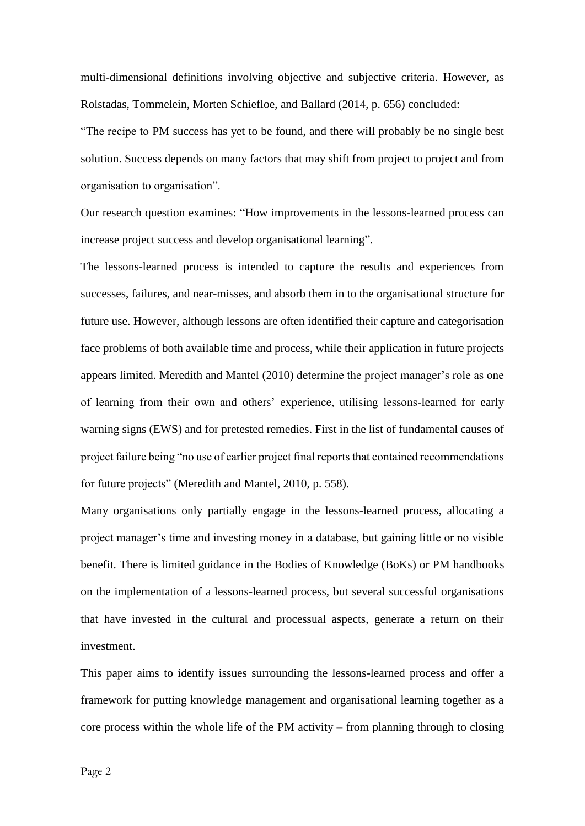multi-dimensional definitions involving objective and subjective criteria. However, as Rolstadas, Tommelein, Morten Schiefloe, and Ballard (2014, p. 656) concluded:

"The recipe to PM success has yet to be found, and there will probably be no single best solution. Success depends on many factors that may shift from project to project and from organisation to organisation".

Our research question examines: "How improvements in the lessons-learned process can increase project success and develop organisational learning".

The lessons-learned process is intended to capture the results and experiences from successes, failures, and near-misses, and absorb them in to the organisational structure for future use. However, although lessons are often identified their capture and categorisation face problems of both available time and process, while their application in future projects appears limited. Meredith and Mantel (2010) determine the project manager's role as one of learning from their own and others' experience, utilising lessons-learned for early warning signs (EWS) and for pretested remedies. First in the list of fundamental causes of project failure being "no use of earlier project final reports that contained recommendations for future projects" (Meredith and Mantel, 2010, p. 558).

Many organisations only partially engage in the lessons-learned process, allocating a project manager's time and investing money in a database, but gaining little or no visible benefit. There is limited guidance in the Bodies of Knowledge (BoKs) or PM handbooks on the implementation of a lessons-learned process, but several successful organisations that have invested in the cultural and processual aspects, generate a return on their investment.

This paper aims to identify issues surrounding the lessons-learned process and offer a framework for putting knowledge management and organisational learning together as a core process within the whole life of the PM activity – from planning through to closing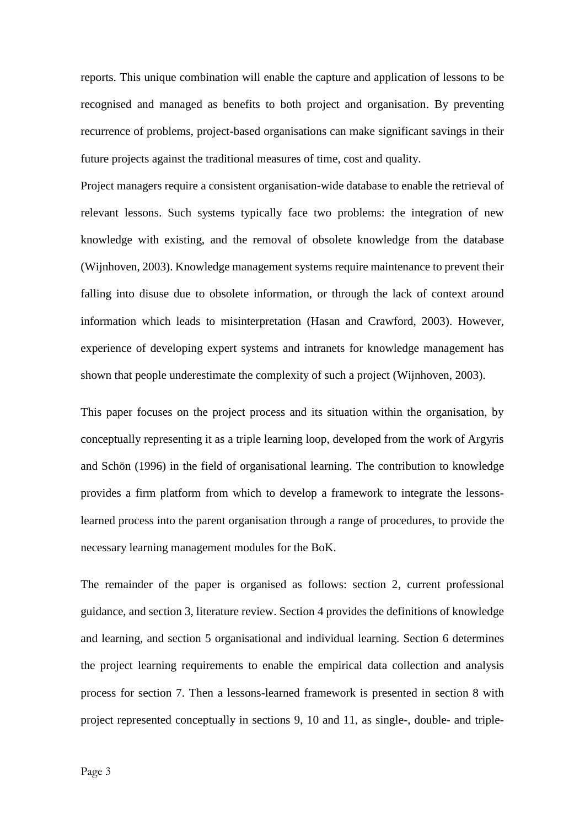reports. This unique combination will enable the capture and application of lessons to be recognised and managed as benefits to both project and organisation. By preventing recurrence of problems, project-based organisations can make significant savings in their future projects against the traditional measures of time, cost and quality.

Project managers require a consistent organisation-wide database to enable the retrieval of relevant lessons. Such systems typically face two problems: the integration of new knowledge with existing, and the removal of obsolete knowledge from the database (Wijnhoven, 2003). Knowledge management systems require maintenance to prevent their falling into disuse due to obsolete information, or through the lack of context around information which leads to misinterpretation (Hasan and Crawford, 2003). However, experience of developing expert systems and intranets for knowledge management has shown that people underestimate the complexity of such a project (Wijnhoven, 2003).

This paper focuses on the project process and its situation within the organisation, by conceptually representing it as a triple learning loop, developed from the work of Argyris and Schön (1996) in the field of organisational learning. The contribution to knowledge provides a firm platform from which to develop a framework to integrate the lessonslearned process into the parent organisation through a range of procedures, to provide the necessary learning management modules for the BoK.

The remainder of the paper is organised as follows: section 2, current professional guidance, and section 3, literature review. Section 4 provides the definitions of knowledge and learning, and section 5 organisational and individual learning. Section 6 determines the project learning requirements to enable the empirical data collection and analysis process for section 7. Then a lessons-learned framework is presented in section 8 with project represented conceptually in sections 9, 10 and 11, as single-, double- and triple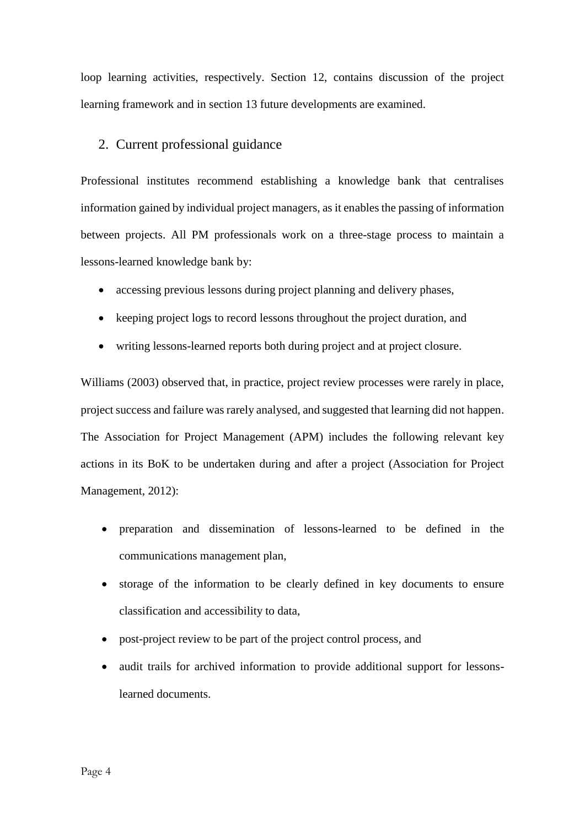loop learning activities, respectively. Section 12, contains discussion of the project learning framework and in section 13 future developments are examined.

## 2. Current professional guidance

Professional institutes recommend establishing a knowledge bank that centralises information gained by individual project managers, as it enables the passing of information between projects. All PM professionals work on a three-stage process to maintain a lessons-learned knowledge bank by:

- accessing previous lessons during project planning and delivery phases,
- keeping project logs to record lessons throughout the project duration, and
- writing lessons-learned reports both during project and at project closure.

Williams (2003) observed that, in practice, project review processes were rarely in place, project success and failure was rarely analysed, and suggested that learning did not happen. The Association for Project Management (APM) includes the following relevant key actions in its BoK to be undertaken during and after a project (Association for Project Management, 2012):

- preparation and dissemination of lessons-learned to be defined in the communications management plan,
- storage of the information to be clearly defined in key documents to ensure classification and accessibility to data,
- post-project review to be part of the project control process, and
- audit trails for archived information to provide additional support for lessonslearned documents.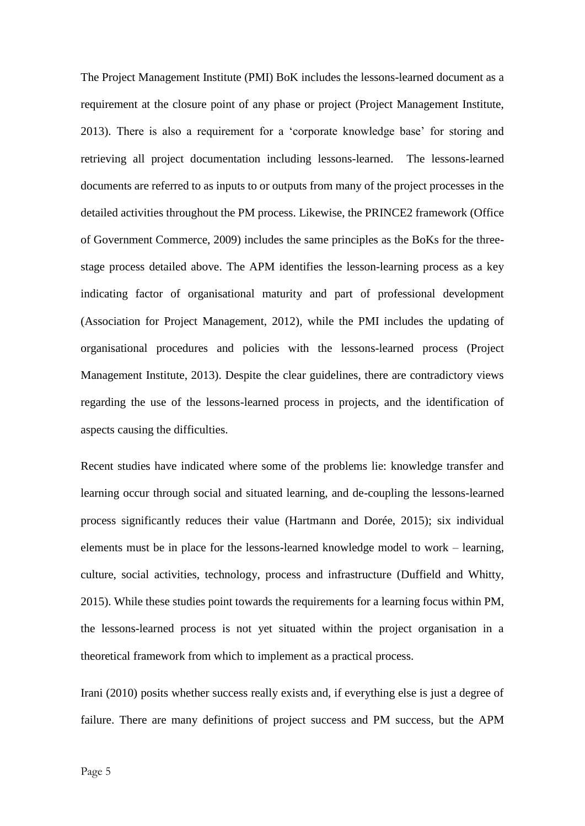The Project Management Institute (PMI) BoK includes the lessons-learned document as a requirement at the closure point of any phase or project (Project Management Institute, 2013). There is also a requirement for a 'corporate knowledge base' for storing and retrieving all project documentation including lessons-learned. The lessons-learned documents are referred to as inputs to or outputs from many of the project processes in the detailed activities throughout the PM process. Likewise, the PRINCE2 framework (Office of Government Commerce, 2009) includes the same principles as the BoKs for the threestage process detailed above. The APM identifies the lesson-learning process as a key indicating factor of organisational maturity and part of professional development (Association for Project Management, 2012), while the PMI includes the updating of organisational procedures and policies with the lessons-learned process (Project Management Institute, 2013). Despite the clear guidelines, there are contradictory views regarding the use of the lessons-learned process in projects, and the identification of aspects causing the difficulties.

Recent studies have indicated where some of the problems lie: knowledge transfer and learning occur through social and situated learning, and de-coupling the lessons-learned process significantly reduces their value (Hartmann and Dorée, 2015); six individual elements must be in place for the lessons-learned knowledge model to work – learning, culture, social activities, technology, process and infrastructure (Duffield and Whitty, 2015). While these studies point towards the requirements for a learning focus within PM, the lessons-learned process is not yet situated within the project organisation in a theoretical framework from which to implement as a practical process.

Irani (2010) posits whether success really exists and, if everything else is just a degree of failure. There are many definitions of project success and PM success, but the APM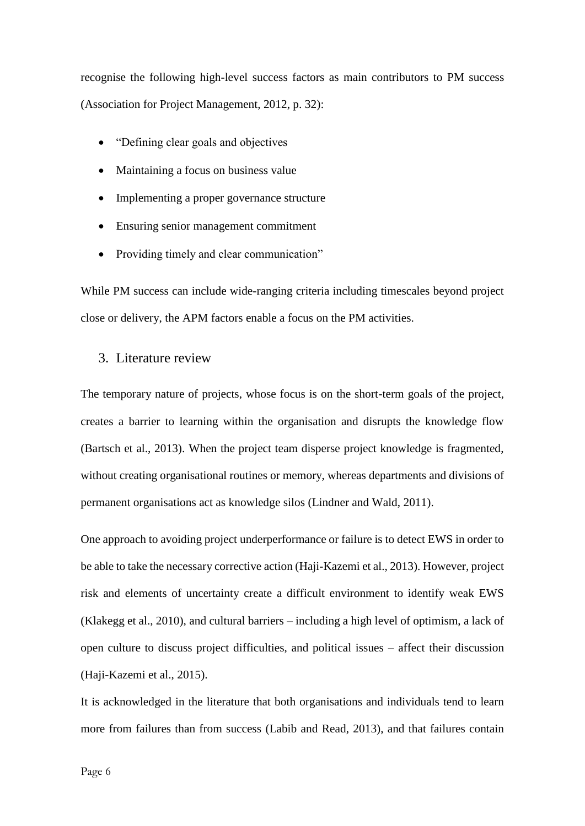recognise the following high-level success factors as main contributors to PM success (Association for Project Management, 2012, p. 32):

- "Defining clear goals and objectives"
- Maintaining a focus on business value
- Implementing a proper governance structure
- Ensuring senior management commitment
- Providing timely and clear communication"

While PM success can include wide-ranging criteria including timescales beyond project close or delivery, the APM factors enable a focus on the PM activities.

#### 3. Literature review

The temporary nature of projects, whose focus is on the short-term goals of the project, creates a barrier to learning within the organisation and disrupts the knowledge flow (Bartsch et al., 2013). When the project team disperse project knowledge is fragmented, without creating organisational routines or memory, whereas departments and divisions of permanent organisations act as knowledge silos (Lindner and Wald, 2011).

One approach to avoiding project underperformance or failure is to detect EWS in order to be able to take the necessary corrective action (Haji-Kazemi et al., 2013). However, project risk and elements of uncertainty create a difficult environment to identify weak EWS (Klakegg et al., 2010), and cultural barriers – including a high level of optimism, a lack of open culture to discuss project difficulties, and political issues – affect their discussion (Haji-Kazemi et al., 2015).

It is acknowledged in the literature that both organisations and individuals tend to learn more from failures than from success (Labib and Read, 2013), and that failures contain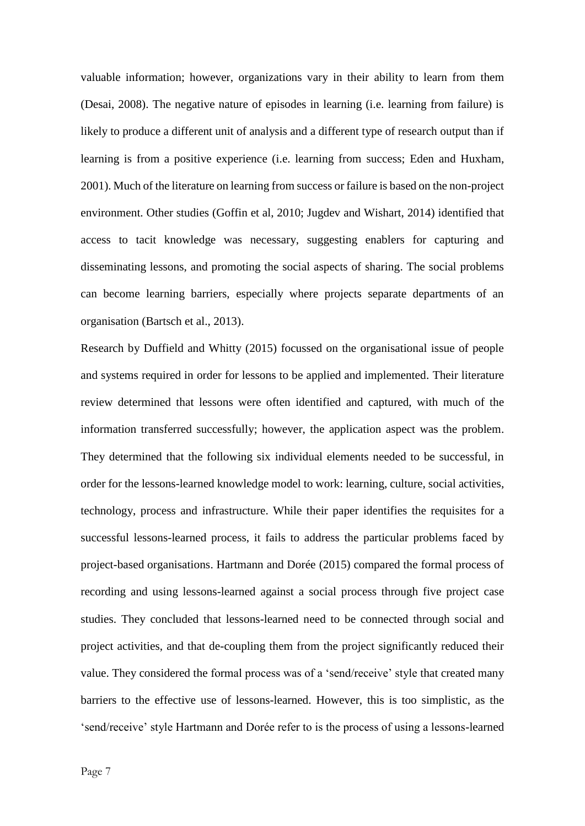valuable information; however, organizations vary in their ability to learn from them (Desai, 2008). The negative nature of episodes in learning (i.e. learning from failure) is likely to produce a different unit of analysis and a different type of research output than if learning is from a positive experience (i.e. learning from success; Eden and Huxham, 2001). Much of the literature on learning from success or failure is based on the non-project environment. Other studies (Goffin et al, 2010; Jugdev and Wishart, 2014) identified that access to tacit knowledge was necessary, suggesting enablers for capturing and disseminating lessons, and promoting the social aspects of sharing. The social problems can become learning barriers, especially where projects separate departments of an organisation (Bartsch et al., 2013).

Research by Duffield and Whitty (2015) focussed on the organisational issue of people and systems required in order for lessons to be applied and implemented. Their literature review determined that lessons were often identified and captured, with much of the information transferred successfully; however, the application aspect was the problem. They determined that the following six individual elements needed to be successful, in order for the lessons-learned knowledge model to work: learning, culture, social activities, technology, process and infrastructure. While their paper identifies the requisites for a successful lessons-learned process, it fails to address the particular problems faced by project-based organisations. Hartmann and Dorée (2015) compared the formal process of recording and using lessons-learned against a social process through five project case studies. They concluded that lessons-learned need to be connected through social and project activities, and that de-coupling them from the project significantly reduced their value. They considered the formal process was of a 'send/receive' style that created many barriers to the effective use of lessons-learned. However, this is too simplistic, as the 'send/receive' style Hartmann and Dorée refer to is the process of using a lessons-learned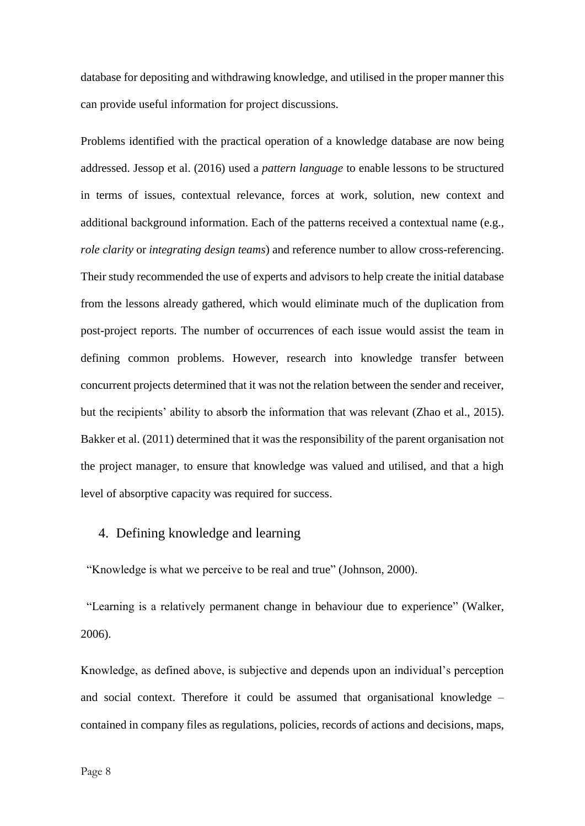database for depositing and withdrawing knowledge, and utilised in the proper manner this can provide useful information for project discussions.

Problems identified with the practical operation of a knowledge database are now being addressed. Jessop et al. (2016) used a *pattern language* to enable lessons to be structured in terms of issues, contextual relevance, forces at work, solution, new context and additional background information. Each of the patterns received a contextual name (e.g., *role clarity* or *integrating design teams*) and reference number to allow cross-referencing. Their study recommended the use of experts and advisors to help create the initial database from the lessons already gathered, which would eliminate much of the duplication from post-project reports. The number of occurrences of each issue would assist the team in defining common problems. However, research into knowledge transfer between concurrent projects determined that it was not the relation between the sender and receiver, but the recipients' ability to absorb the information that was relevant (Zhao et al., 2015). Bakker et al. (2011) determined that it was the responsibility of the parent organisation not the project manager, to ensure that knowledge was valued and utilised, and that a high level of absorptive capacity was required for success.

## 4. Defining knowledge and learning

"Knowledge is what we perceive to be real and true" (Johnson, 2000).

"Learning is a relatively permanent change in behaviour due to experience" (Walker, 2006).

Knowledge, as defined above, is subjective and depends upon an individual's perception and social context. Therefore it could be assumed that organisational knowledge – contained in company files as regulations, policies, records of actions and decisions, maps,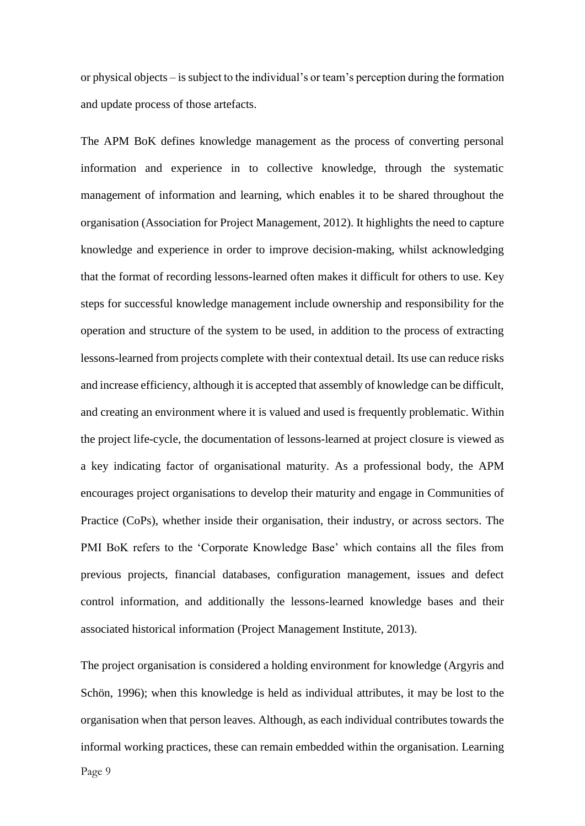or physical objects – is subject to the individual's or team's perception during the formation and update process of those artefacts.

The APM BoK defines knowledge management as the process of converting personal information and experience in to collective knowledge, through the systematic management of information and learning, which enables it to be shared throughout the organisation (Association for Project Management, 2012). It highlights the need to capture knowledge and experience in order to improve decision-making, whilst acknowledging that the format of recording lessons-learned often makes it difficult for others to use. Key steps for successful knowledge management include ownership and responsibility for the operation and structure of the system to be used, in addition to the process of extracting lessons-learned from projects complete with their contextual detail. Its use can reduce risks and increase efficiency, although it is accepted that assembly of knowledge can be difficult, and creating an environment where it is valued and used is frequently problematic. Within the project life-cycle, the documentation of lessons-learned at project closure is viewed as a key indicating factor of organisational maturity. As a professional body, the APM encourages project organisations to develop their maturity and engage in Communities of Practice (CoPs), whether inside their organisation, their industry, or across sectors. The PMI BoK refers to the 'Corporate Knowledge Base' which contains all the files from previous projects, financial databases, configuration management, issues and defect control information, and additionally the lessons-learned knowledge bases and their associated historical information (Project Management Institute, 2013).

The project organisation is considered a holding environment for knowledge (Argyris and Schön, 1996); when this knowledge is held as individual attributes, it may be lost to the organisation when that person leaves. Although, as each individual contributes towards the informal working practices, these can remain embedded within the organisation. Learning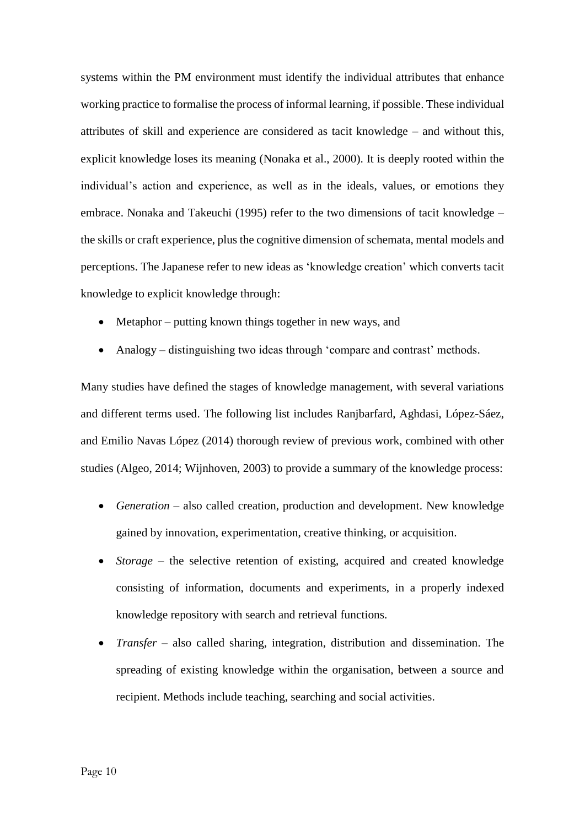systems within the PM environment must identify the individual attributes that enhance working practice to formalise the process of informal learning, if possible. These individual attributes of skill and experience are considered as tacit knowledge – and without this, explicit knowledge loses its meaning (Nonaka et al., 2000). It is deeply rooted within the individual's action and experience, as well as in the ideals, values, or emotions they embrace. Nonaka and Takeuchi (1995) refer to the two dimensions of tacit knowledge – the skills or craft experience, plus the cognitive dimension of schemata, mental models and perceptions. The Japanese refer to new ideas as 'knowledge creation' which converts tacit knowledge to explicit knowledge through:

- Metaphor putting known things together in new ways, and
- Analogy distinguishing two ideas through 'compare and contrast' methods.

Many studies have defined the stages of knowledge management, with several variations and different terms used. The following list includes Ranjbarfard, Aghdasi, López-Sáez, and Emilio Navas López (2014) thorough review of previous work, combined with other studies (Algeo, 2014; Wijnhoven, 2003) to provide a summary of the knowledge process:

- *Generation* also called creation, production and development. New knowledge gained by innovation, experimentation, creative thinking, or acquisition.
- *Storage* the selective retention of existing, acquired and created knowledge consisting of information, documents and experiments, in a properly indexed knowledge repository with search and retrieval functions.
- *Transfer* also called sharing, integration, distribution and dissemination. The spreading of existing knowledge within the organisation, between a source and recipient. Methods include teaching, searching and social activities.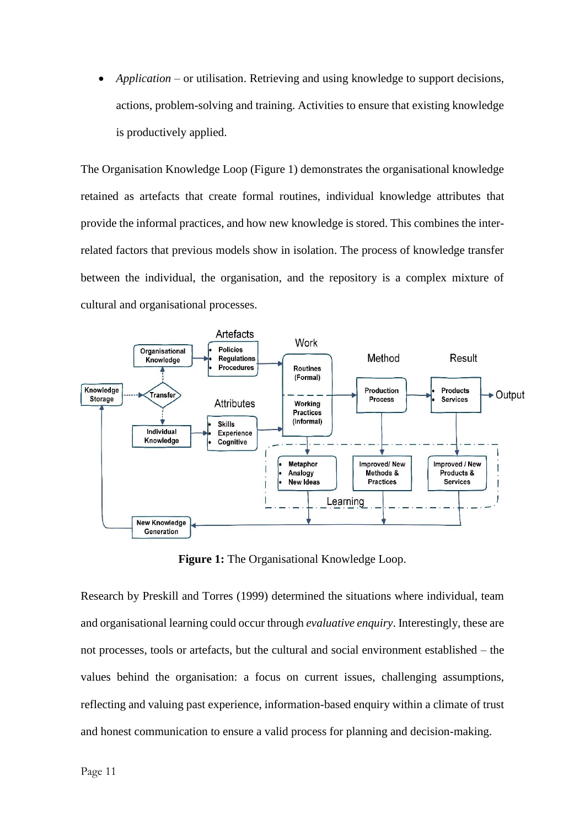*Application* – or utilisation. Retrieving and using knowledge to support decisions, actions, problem-solving and training. Activities to ensure that existing knowledge is productively applied.

The Organisation Knowledge Loop (Figure 1) demonstrates the organisational knowledge retained as artefacts that create formal routines, individual knowledge attributes that provide the informal practices, and how new knowledge is stored. This combines the interrelated factors that previous models show in isolation. The process of knowledge transfer between the individual, the organisation, and the repository is a complex mixture of cultural and organisational processes.



**Figure 1:** The Organisational Knowledge Loop.

Research by Preskill and Torres (1999) determined the situations where individual, team and organisational learning could occur through *evaluative enquiry*. Interestingly, these are not processes, tools or artefacts, but the cultural and social environment established – the values behind the organisation: a focus on current issues, challenging assumptions, reflecting and valuing past experience, information-based enquiry within a climate of trust and honest communication to ensure a valid process for planning and decision-making.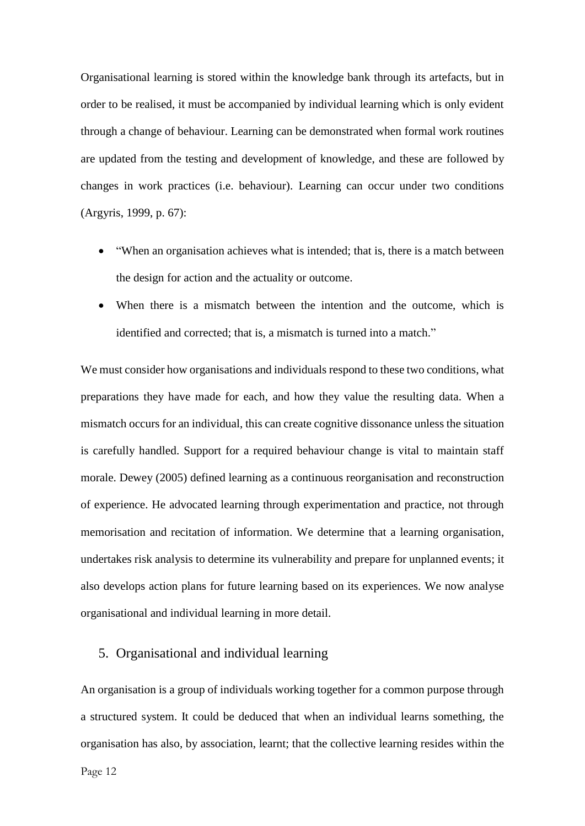Organisational learning is stored within the knowledge bank through its artefacts, but in order to be realised, it must be accompanied by individual learning which is only evident through a change of behaviour. Learning can be demonstrated when formal work routines are updated from the testing and development of knowledge, and these are followed by changes in work practices (i.e. behaviour). Learning can occur under two conditions (Argyris, 1999, p. 67):

- "When an organisation achieves what is intended; that is, there is a match between the design for action and the actuality or outcome.
- When there is a mismatch between the intention and the outcome, which is identified and corrected; that is, a mismatch is turned into a match."

We must consider how organisations and individuals respond to these two conditions, what preparations they have made for each, and how they value the resulting data. When a mismatch occurs for an individual, this can create cognitive dissonance unless the situation is carefully handled. Support for a required behaviour change is vital to maintain staff morale. Dewey (2005) defined learning as a continuous reorganisation and reconstruction of experience. He advocated learning through experimentation and practice, not through memorisation and recitation of information. We determine that a learning organisation, undertakes risk analysis to determine its vulnerability and prepare for unplanned events; it also develops action plans for future learning based on its experiences. We now analyse organisational and individual learning in more detail.

## 5. Organisational and individual learning

An organisation is a group of individuals working together for a common purpose through a structured system. It could be deduced that when an individual learns something, the organisation has also, by association, learnt; that the collective learning resides within the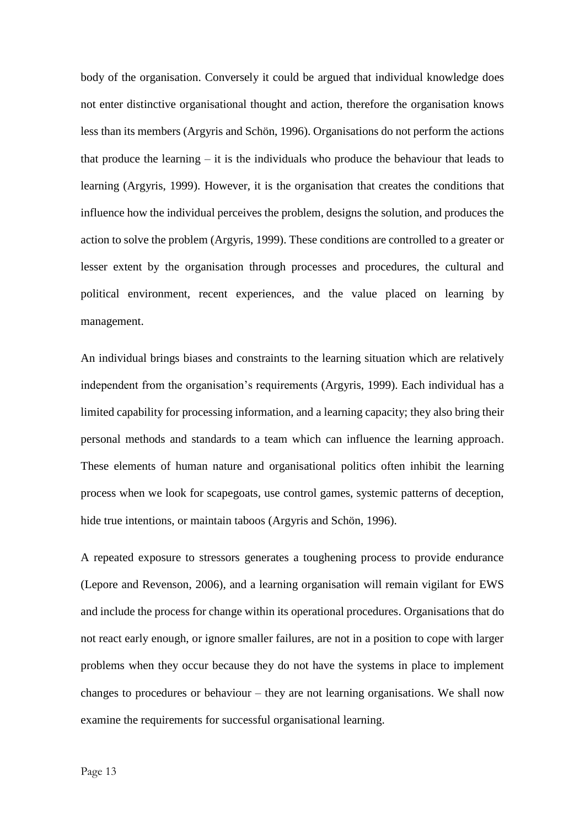body of the organisation. Conversely it could be argued that individual knowledge does not enter distinctive organisational thought and action, therefore the organisation knows less than its members (Argyris and Schön, 1996). Organisations do not perform the actions that produce the learning – it is the individuals who produce the behaviour that leads to learning (Argyris, 1999). However, it is the organisation that creates the conditions that influence how the individual perceives the problem, designs the solution, and produces the action to solve the problem (Argyris, 1999). These conditions are controlled to a greater or lesser extent by the organisation through processes and procedures, the cultural and political environment, recent experiences, and the value placed on learning by management.

An individual brings biases and constraints to the learning situation which are relatively independent from the organisation's requirements (Argyris, 1999). Each individual has a limited capability for processing information, and a learning capacity; they also bring their personal methods and standards to a team which can influence the learning approach. These elements of human nature and organisational politics often inhibit the learning process when we look for scapegoats, use control games, systemic patterns of deception, hide true intentions, or maintain taboos (Argyris and Schön, 1996).

A repeated exposure to stressors generates a toughening process to provide endurance (Lepore and Revenson, 2006), and a learning organisation will remain vigilant for EWS and include the process for change within its operational procedures. Organisations that do not react early enough, or ignore smaller failures, are not in a position to cope with larger problems when they occur because they do not have the systems in place to implement changes to procedures or behaviour – they are not learning organisations. We shall now examine the requirements for successful organisational learning.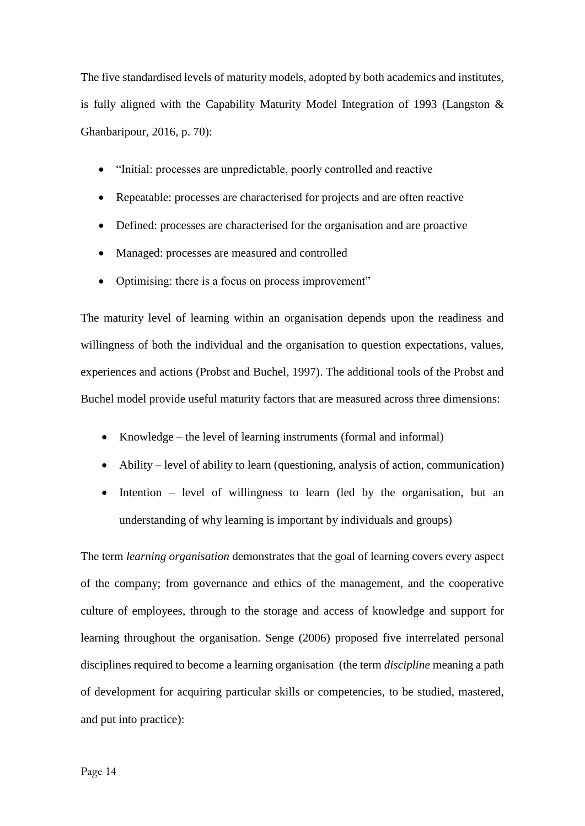The five standardised levels of maturity models, adopted by both academics and institutes, is fully aligned with the Capability Maturity Model Integration of 1993 (Langston & Ghanbaripour, 2016, p. 70):

- "Initial: processes are unpredictable, poorly controlled and reactive
- Repeatable: processes are characterised for projects and are often reactive
- Defined: processes are characterised for the organisation and are proactive
- Managed: processes are measured and controlled
- Optimising: there is a focus on process improvement"

The maturity level of learning within an organisation depends upon the readiness and willingness of both the individual and the organisation to question expectations, values, experiences and actions (Probst and Buchel, 1997). The additional tools of the Probst and Buchel model provide useful maturity factors that are measured across three dimensions:

- Knowledge the level of learning instruments (formal and informal)
- Ability level of ability to learn (questioning, analysis of action, communication)
- Intention level of willingness to learn (led by the organisation, but an understanding of why learning is important by individuals and groups)

The term *learning organisation* demonstrates that the goal of learning covers every aspect of the company; from governance and ethics of the management, and the cooperative culture of employees, through to the storage and access of knowledge and support for learning throughout the organisation. Senge (2006) proposed five interrelated personal disciplines required to become a learning organisation (the term *discipline* meaning a path of development for acquiring particular skills or competencies, to be studied, mastered, and put into practice):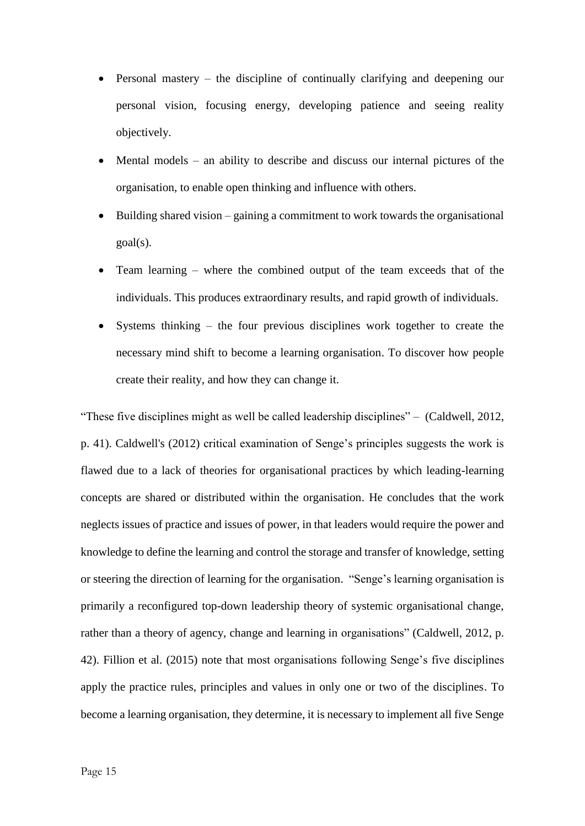- Personal mastery the discipline of continually clarifying and deepening our personal vision, focusing energy, developing patience and seeing reality objectively.
- Mental models an ability to describe and discuss our internal pictures of the organisation, to enable open thinking and influence with others.
- Building shared vision gaining a commitment to work towards the organisational  $goal(s)$ .
- Team learning where the combined output of the team exceeds that of the individuals. This produces extraordinary results, and rapid growth of individuals.
- Systems thinking the four previous disciplines work together to create the necessary mind shift to become a learning organisation. To discover how people create their reality, and how they can change it.

"These five disciplines might as well be called leadership disciplines" – (Caldwell, 2012, p. 41). Caldwell's (2012) critical examination of Senge's principles suggests the work is flawed due to a lack of theories for organisational practices by which leading-learning concepts are shared or distributed within the organisation. He concludes that the work neglects issues of practice and issues of power, in that leaders would require the power and knowledge to define the learning and control the storage and transfer of knowledge, setting or steering the direction of learning for the organisation. "Senge's learning organisation is primarily a reconfigured top-down leadership theory of systemic organisational change, rather than a theory of agency, change and learning in organisations" (Caldwell, 2012, p. 42). Fillion et al. (2015) note that most organisations following Senge's five disciplines apply the practice rules, principles and values in only one or two of the disciplines. To become a learning organisation, they determine, it is necessary to implement all five Senge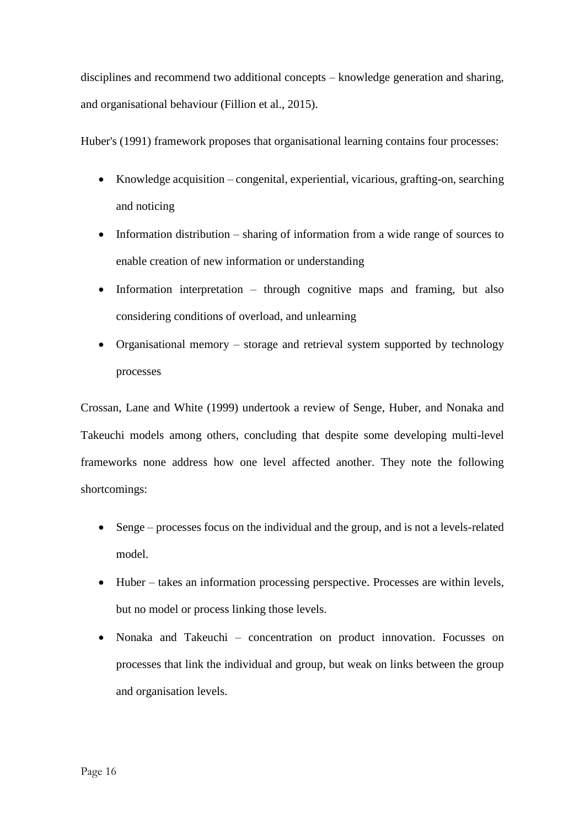disciplines and recommend two additional concepts – knowledge generation and sharing, and organisational behaviour (Fillion et al., 2015).

Huber's (1991) framework proposes that organisational learning contains four processes:

- Knowledge acquisition congenital, experiential, vicarious, grafting-on, searching and noticing
- Information distribution sharing of information from a wide range of sources to enable creation of new information or understanding
- $\bullet$  Information interpretation through cognitive maps and framing, but also considering conditions of overload, and unlearning
- Organisational memory storage and retrieval system supported by technology processes

Crossan, Lane and White (1999) undertook a review of Senge, Huber, and Nonaka and Takeuchi models among others, concluding that despite some developing multi-level frameworks none address how one level affected another. They note the following shortcomings:

- Senge processes focus on the individual and the group, and is not a levels-related model.
- Huber takes an information processing perspective. Processes are within levels, but no model or process linking those levels.
- Nonaka and Takeuchi concentration on product innovation. Focusses on processes that link the individual and group, but weak on links between the group and organisation levels.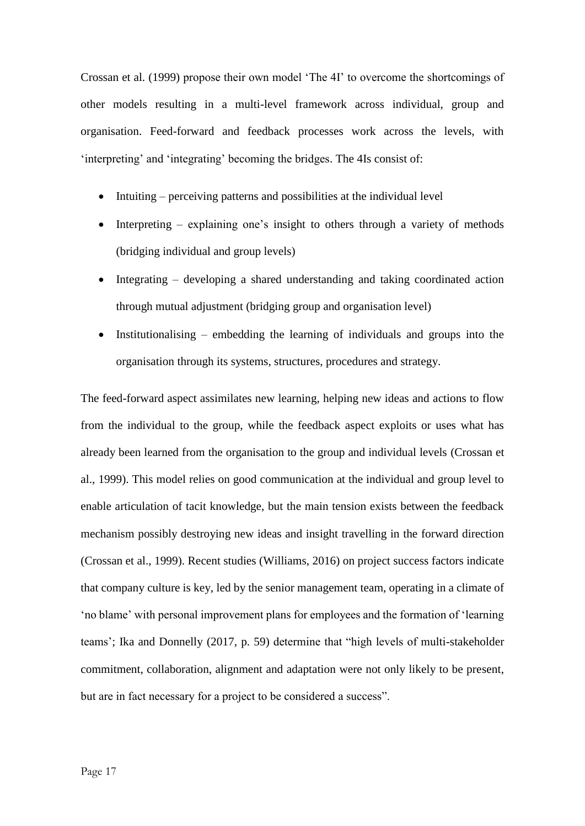Crossan et al. (1999) propose their own model 'The 4I' to overcome the shortcomings of other models resulting in a multi-level framework across individual, group and organisation. Feed-forward and feedback processes work across the levels, with 'interpreting' and 'integrating' becoming the bridges. The 4Is consist of:

- Intuiting perceiving patterns and possibilities at the individual level
- Interpreting explaining one's insight to others through a variety of methods (bridging individual and group levels)
- Integrating developing a shared understanding and taking coordinated action through mutual adjustment (bridging group and organisation level)
- Institutionalising embedding the learning of individuals and groups into the organisation through its systems, structures, procedures and strategy.

The feed-forward aspect assimilates new learning, helping new ideas and actions to flow from the individual to the group, while the feedback aspect exploits or uses what has already been learned from the organisation to the group and individual levels (Crossan et al., 1999). This model relies on good communication at the individual and group level to enable articulation of tacit knowledge, but the main tension exists between the feedback mechanism possibly destroying new ideas and insight travelling in the forward direction (Crossan et al., 1999). Recent studies (Williams, 2016) on project success factors indicate that company culture is key, led by the senior management team, operating in a climate of 'no blame' with personal improvement plans for employees and the formation of 'learning teams'; Ika and Donnelly (2017, p. 59) determine that "high levels of multi-stakeholder commitment, collaboration, alignment and adaptation were not only likely to be present, but are in fact necessary for a project to be considered a success".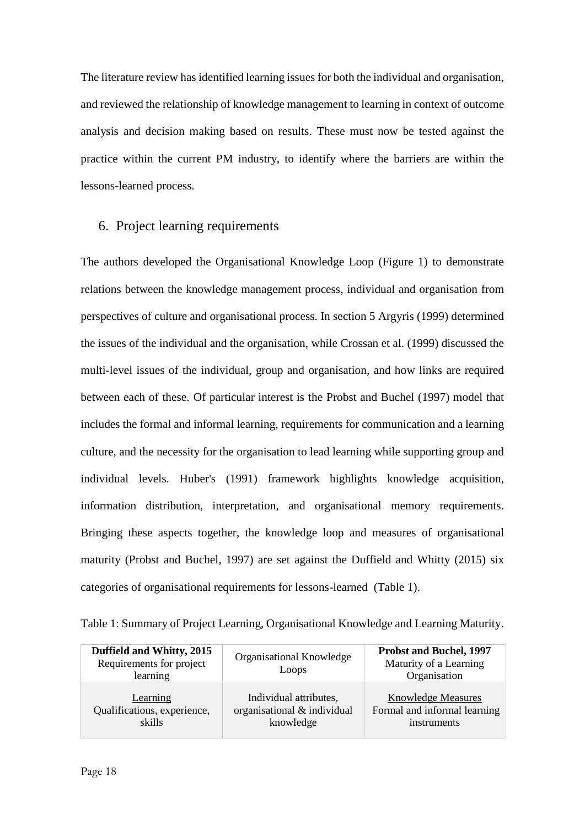The literature review has identified learning issues for both the individual and organisation, and reviewed the relationship of knowledge management to learning in context of outcome analysis and decision making based on results. These must now be tested against the practice within the current PM industry, to identify where the barriers are within the lessons-learned process.

## 6. Project learning requirements

The authors developed the Organisational Knowledge Loop (Figure 1) to demonstrate relations between the knowledge management process, individual and organisation from perspectives of culture and organisational process. In section 5 Argyris (1999) determined the issues of the individual and the organisation, while Crossan et al. (1999) discussed the multi-level issues of the individual, group and organisation, and how links are required between each of these. Of particular interest is the Probst and Buchel (1997) model that includes the formal and informal learning, requirements for communication and a learning culture, and the necessity for the organisation to lead learning while supporting group and individual levels. Huber's (1991) framework highlights knowledge acquisition, information distribution, interpretation, and organisational memory requirements. Bringing these aspects together, the knowledge loop and measures of organisational maturity (Probst and Buchel, 1997) are set against the Duffield and Whitty (2015) six categories of organisational requirements for lessons-learned (Table 1).

|  |  | Table 1: Summary of Project Learning, Organisational Knowledge and Learning Maturity. |
|--|--|---------------------------------------------------------------------------------------|
|  |  |                                                                                       |

| Duffield and Whitty, 2015<br>Requirements for project<br>learning | Organisational Knowledge<br>Loops | <b>Probst and Buchel, 1997</b><br>Maturity of a Learning<br>Organisation |
|-------------------------------------------------------------------|-----------------------------------|--------------------------------------------------------------------------|
| Learning                                                          | Individual attributes,            | <b>Knowledge Measures</b>                                                |
| Qualifications, experience,                                       | organisational & individual       | Formal and informal learning                                             |
| skills                                                            | knowledge                         | instruments                                                              |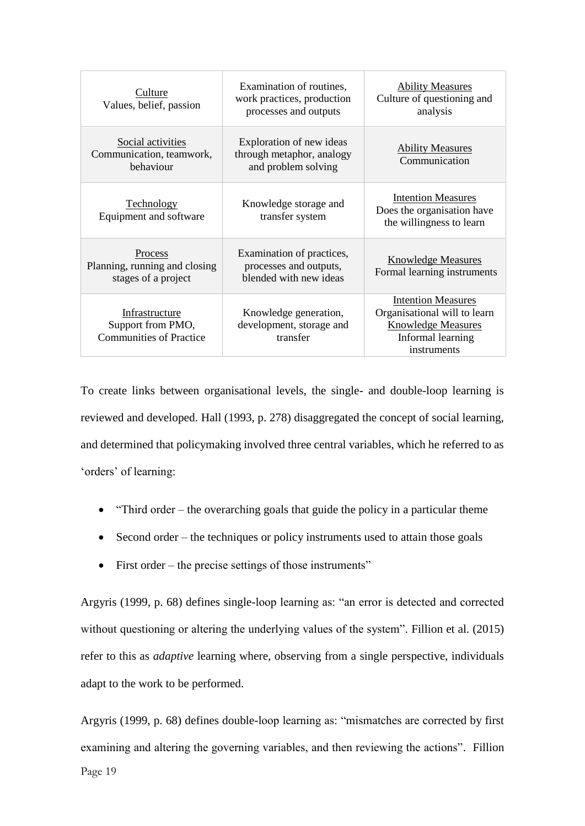| Culture<br>Values, belief, passion                                    | Examination of routines,<br>work practices, production<br>processes and outputs | <b>Ability Measures</b><br>Culture of questioning and<br>analysis                                                          |
|-----------------------------------------------------------------------|---------------------------------------------------------------------------------|----------------------------------------------------------------------------------------------------------------------------|
| Social activities<br>Communication, teamwork,<br>behaviour            | Exploration of new ideas<br>through metaphor, analogy<br>and problem solving    | <b>Ability Measures</b><br>Communication                                                                                   |
| <b>Technology</b><br>Equipment and software                           | Knowledge storage and<br>transfer system                                        | <b>Intention Measures</b><br>Does the organisation have<br>the willingness to learn                                        |
| Process<br>Planning, running and closing<br>stages of a project       | Examination of practices,<br>processes and outputs,<br>blended with new ideas   | <b>Knowledge Measures</b><br>Formal learning instruments                                                                   |
| Infrastructure<br>Support from PMO,<br><b>Communities of Practice</b> | Knowledge generation,<br>development, storage and<br>transfer                   | <b>Intention Measures</b><br>Organisational will to learn<br><b>Knowledge Measures</b><br>Informal learning<br>instruments |

To create links between organisational levels, the single- and double-loop learning is reviewed and developed. Hall (1993, p. 278) disaggregated the concept of social learning, and determined that policymaking involved three central variables, which he referred to as 'orders' of learning:

- "Third order the overarching goals that guide the policy in a particular theme
- Second order the techniques or policy instruments used to attain those goals
- First order the precise settings of those instruments"

Argyris (1999, p. 68) defines single-loop learning as: "an error is detected and corrected without questioning or altering the underlying values of the system". Fillion et al. (2015) refer to this as *adaptive* learning where, observing from a single perspective, individuals adapt to the work to be performed.

Argyris (1999, p. 68) defines double-loop learning as: "mismatches are corrected by first examining and altering the governing variables, and then reviewing the actions". Fillion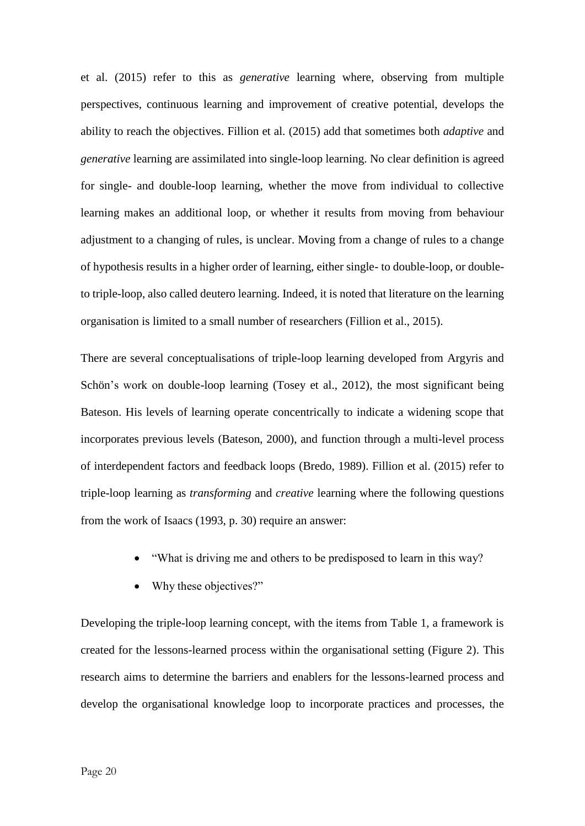et al. (2015) refer to this as *generative* learning where, observing from multiple perspectives, continuous learning and improvement of creative potential, develops the ability to reach the objectives. Fillion et al. (2015) add that sometimes both *adaptive* and *generative* learning are assimilated into single-loop learning. No clear definition is agreed for single- and double-loop learning, whether the move from individual to collective learning makes an additional loop, or whether it results from moving from behaviour adjustment to a changing of rules, is unclear. Moving from a change of rules to a change of hypothesis results in a higher order of learning, either single- to double-loop, or doubleto triple-loop, also called deutero learning. Indeed, it is noted that literature on the learning organisation is limited to a small number of researchers (Fillion et al., 2015).

There are several conceptualisations of triple-loop learning developed from Argyris and Schön's work on double-loop learning (Tosey et al., 2012), the most significant being Bateson. His levels of learning operate concentrically to indicate a widening scope that incorporates previous levels (Bateson, 2000), and function through a multi-level process of interdependent factors and feedback loops (Bredo, 1989). Fillion et al. (2015) refer to triple-loop learning as *transforming* and *creative* learning where the following questions from the work of Isaacs (1993, p. 30) require an answer:

- "What is driving me and others to be predisposed to learn in this way?
- Why these objectives?"

Developing the triple-loop learning concept, with the items from Table 1, a framework is created for the lessons-learned process within the organisational setting (Figure 2). This research aims to determine the barriers and enablers for the lessons-learned process and develop the organisational knowledge loop to incorporate practices and processes, the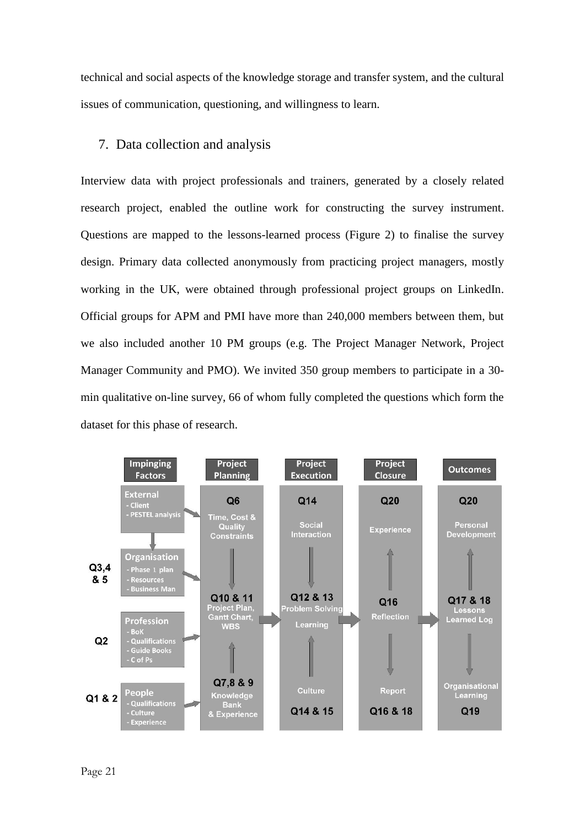technical and social aspects of the knowledge storage and transfer system, and the cultural issues of communication, questioning, and willingness to learn.

# 7. Data collection and analysis

Interview data with project professionals and trainers, generated by a closely related research project, enabled the outline work for constructing the survey instrument. Questions are mapped to the lessons-learned process (Figure 2) to finalise the survey design. Primary data collected anonymously from practicing project managers, mostly working in the UK, were obtained through professional project groups on LinkedIn. Official groups for APM and PMI have more than 240,000 members between them, but we also included another 10 PM groups (e.g. The Project Manager Network, Project Manager Community and PMO). We invited 350 group members to participate in a 30 min qualitative on-line survey, 66 of whom fully completed the questions which form the dataset for this phase of research.

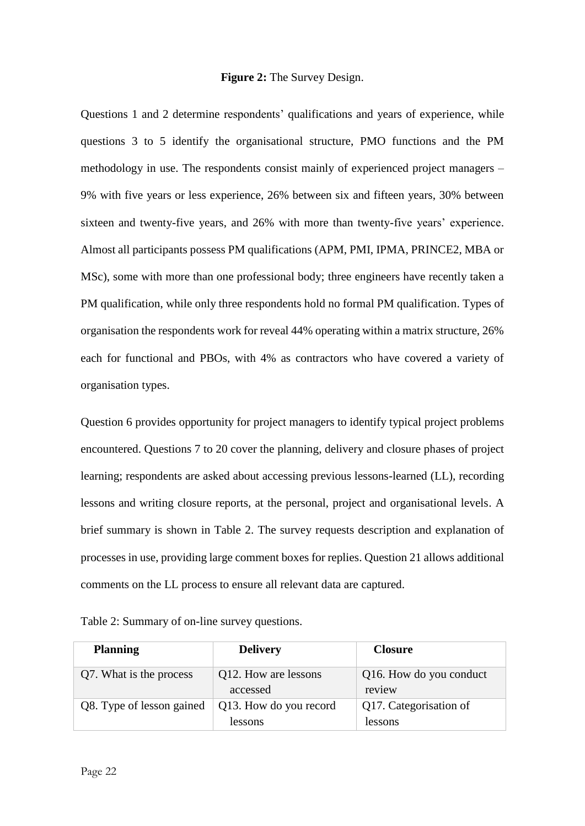#### **Figure 2:** The Survey Design.

Questions 1 and 2 determine respondents' qualifications and years of experience, while questions 3 to 5 identify the organisational structure, PMO functions and the PM methodology in use. The respondents consist mainly of experienced project managers – 9% with five years or less experience, 26% between six and fifteen years, 30% between sixteen and twenty-five years, and 26% with more than twenty-five years' experience. Almost all participants possess PM qualifications (APM, PMI, IPMA, PRINCE2, MBA or MSc), some with more than one professional body; three engineers have recently taken a PM qualification, while only three respondents hold no formal PM qualification. Types of organisation the respondents work for reveal 44% operating within a matrix structure, 26% each for functional and PBOs, with 4% as contractors who have covered a variety of organisation types.

Question 6 provides opportunity for project managers to identify typical project problems encountered. Questions 7 to 20 cover the planning, delivery and closure phases of project learning; respondents are asked about accessing previous lessons-learned (LL), recording lessons and writing closure reports, at the personal, project and organisational levels. A brief summary is shown in Table 2. The survey requests description and explanation of processes in use, providing large comment boxes for replies. Question 21 allows additional comments on the LL process to ensure all relevant data are captured.

| Table 2: Summary of on-line survey questions. |  |  |
|-----------------------------------------------|--|--|
|-----------------------------------------------|--|--|

| <b>Planning</b>           | <b>Delivery</b>                   | <b>Closure</b>                    |
|---------------------------|-----------------------------------|-----------------------------------|
| Q7. What is the process   | Q12. How are lessons<br>accessed  | Q16. How do you conduct<br>review |
| Q8. Type of lesson gained | Q13. How do you record<br>lessons | Q17. Categorisation of<br>lessons |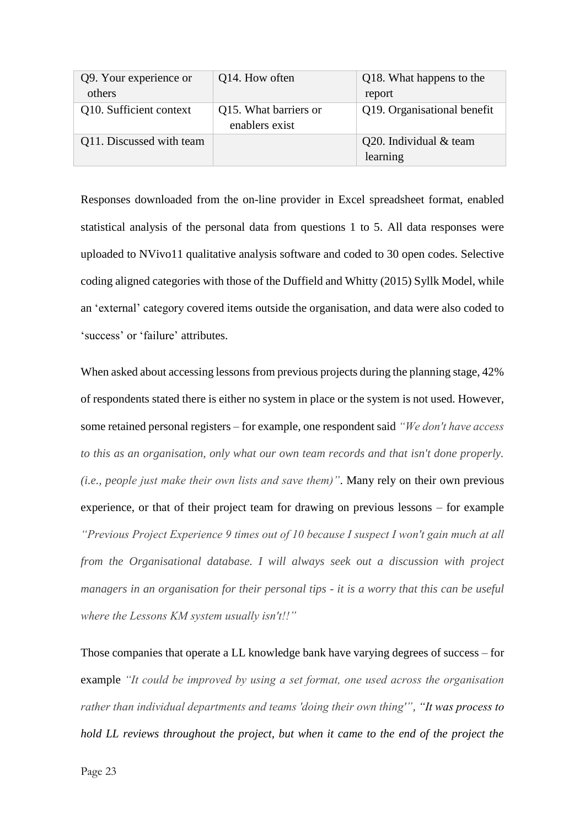| Q9. Your experience or   | Q14. How often                          | Q18. What happens to the    |
|--------------------------|-----------------------------------------|-----------------------------|
| others                   |                                         | report                      |
| Q10. Sufficient context  | Q15. What barriers or<br>enablers exist | Q19. Organisational benefit |
| Q11. Discussed with team |                                         | Q20. Individual & team      |
|                          |                                         | learning                    |

Responses downloaded from the on-line provider in Excel spreadsheet format, enabled statistical analysis of the personal data from questions 1 to 5. All data responses were uploaded to NVivo11 qualitative analysis software and coded to 30 open codes. Selective coding aligned categories with those of the Duffield and Whitty (2015) Syllk Model, while an 'external' category covered items outside the organisation, and data were also coded to 'success' or 'failure' attributes.

When asked about accessing lessons from previous projects during the planning stage, 42% of respondents stated there is either no system in place or the system is not used. However, some retained personal registers – for example, one respondent said *"We don't have access to this as an organisation, only what our own team records and that isn't done properly. (i.e., people just make their own lists and save them)"*. Many rely on their own previous experience, or that of their project team for drawing on previous lessons – for example *"Previous Project Experience 9 times out of 10 because I suspect I won't gain much at all from the Organisational database. I will always seek out a discussion with project managers in an organisation for their personal tips - it is a worry that this can be useful where the Lessons KM system usually isn't!!"*

Those companies that operate a LL knowledge bank have varying degrees of success – for example *"It could be improved by using a set format, one used across the organisation rather than individual departments and teams 'doing their own thing'", "It was process to hold LL reviews throughout the project, but when it came to the end of the project the*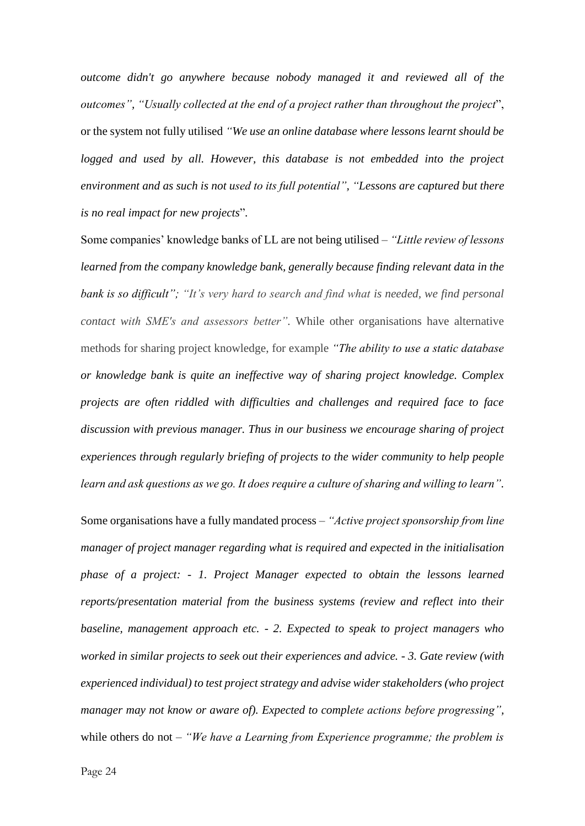*outcome didn't go anywhere because nobody managed it and reviewed all of the outcomes", "Usually collected at the end of a project rather than throughout the project*", or the system not fully utilised *"We use an online database where lessons learnt should be*  logged and used by all. However, this database is not embedded into the project *environment and as such is not used to its full potential", "Lessons are captured but there is no real impact for new projects*"*.*

Some companies' knowledge banks of LL are not being utilised *– "Little review of lessons learned from the company knowledge bank, generally because finding relevant data in the bank is so difficult"; "It's very hard to search and find what is needed, we find personal contact with SME's and assessors better".* While other organisations have alternative methods for sharing project knowledge, for example *"The ability to use a static database or knowledge bank is quite an ineffective way of sharing project knowledge. Complex projects are often riddled with difficulties and challenges and required face to face discussion with previous manager. Thus in our business we encourage sharing of project experiences through regularly briefing of projects to the wider community to help people learn and ask questions as we go. It does require a culture of sharing and willing to learn".* 

Some organisations have a fully mandated process – *"Active project sponsorship from line manager of project manager regarding what is required and expected in the initialisation phase of a project: - 1. Project Manager expected to obtain the lessons learned reports/presentation material from the business systems (review and reflect into their baseline, management approach etc. - 2. Expected to speak to project managers who worked in similar projects to seek out their experiences and advice. - 3. Gate review (with experienced individual) to test project strategy and advise wider stakeholders (who project manager may not know or aware of). Expected to complete actions before progressing",* while others do not – *"We have a Learning from Experience programme; the problem is*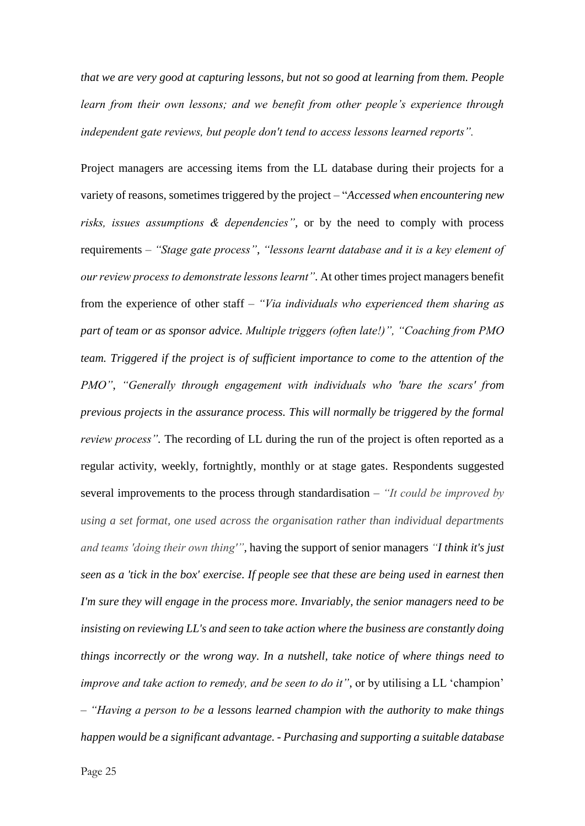*that we are very good at capturing lessons, but not so good at learning from them. People learn from their own lessons; and we benefit from other people's experience through independent gate reviews, but people don't tend to access lessons learned reports".*

Project managers are accessing items from the LL database during their projects for a variety of reasons, sometimes triggered by the project – "*Accessed when encountering new risks, issues assumptions & dependencies",* or by the need to comply with process requirements – *"Stage gate process"*, *"lessons learnt database and it is a key element of our review process to demonstrate lessons learnt"*. At other times project managers benefit from the experience of other staff – *"Via individuals who experienced them sharing as part of team or as sponsor advice. Multiple triggers (often late!)", "Coaching from PMO team. Triggered if the project is of sufficient importance to come to the attention of the PMO"*, *"Generally through engagement with individuals who 'bare the scars' from previous projects in the assurance process. This will normally be triggered by the formal review process*". The recording of LL during the run of the project is often reported as a regular activity, weekly, fortnightly, monthly or at stage gates. Respondents suggested several improvements to the process through standardisation – *"It could be improved by using a set format, one used across the organisation rather than individual departments and teams 'doing their own thing'"*, having the support of senior managers *"I think it's just seen as a 'tick in the box' exercise. If people see that these are being used in earnest then I'm sure they will engage in the process more. Invariably, the senior managers need to be insisting on reviewing LL's and seen to take action where the business are constantly doing things incorrectly or the wrong way. In a nutshell, take notice of where things need to improve and take action to remedy, and be seen to do it"*, or by utilising a LL 'champion' *– "Having a person to be a lessons learned champion with the authority to make things happen would be a significant advantage. - Purchasing and supporting a suitable database*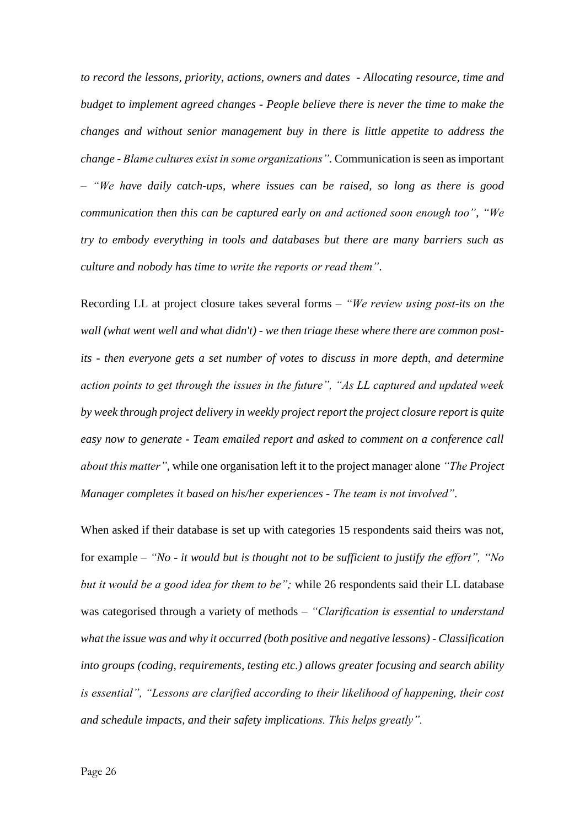*to record the lessons, priority, actions, owners and dates - Allocating resource, time and budget to implement agreed changes - People believe there is never the time to make the changes and without senior management buy in there is little appetite to address the change - Blame cultures exist in some organizations".* Communication is seen as important – *"We have daily catch-ups, where issues can be raised, so long as there is good communication then this can be captured early on and actioned soon enough too"*, *"We try to embody everything in tools and databases but there are many barriers such as culture and nobody has time to write the reports or read them"*.

Recording LL at project closure takes several forms – *"We review using post-its on the wall (what went well and what didn't) - we then triage these where there are common postits - then everyone gets a set number of votes to discuss in more depth, and determine action points to get through the issues in the future", "As LL captured and updated week by week through project delivery in weekly project report the project closure report is quite easy now to generate - Team emailed report and asked to comment on a conference call about this matter"*, while one organisation left it to the project manager alone *"The Project Manager completes it based on his/her experiences - The team is not involved".* 

When asked if their database is set up with categories 15 respondents said theirs was not, for example – *"No - it would but is thought not to be sufficient to justify the effort", "No but it would be a good idea for them to be";* while 26 respondents said their LL database was categorised through a variety of methods – *"Clarification is essential to understand what the issue was and why it occurred (both positive and negative lessons) - Classification into groups (coding, requirements, testing etc.) allows greater focusing and search ability is essential", "Lessons are clarified according to their likelihood of happening, their cost and schedule impacts, and their safety implications. This helps greatly".*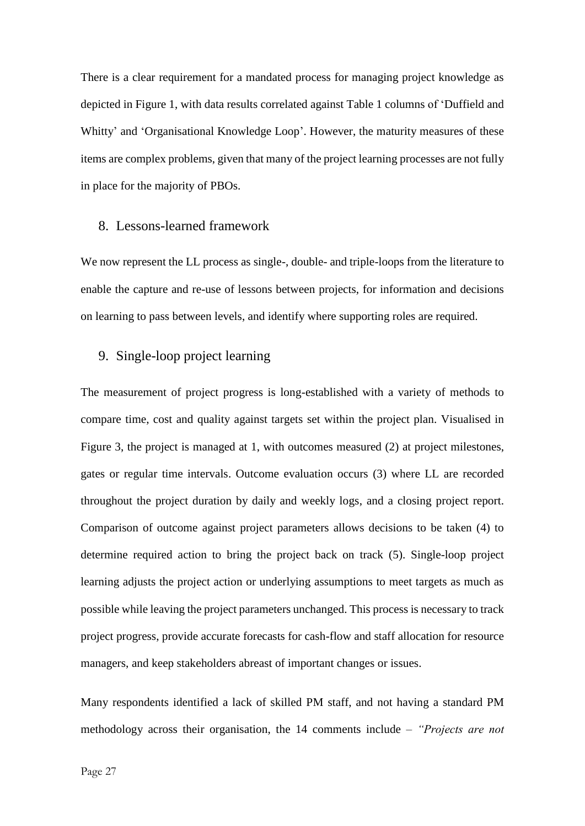There is a clear requirement for a mandated process for managing project knowledge as depicted in Figure 1, with data results correlated against Table 1 columns of 'Duffield and Whitty' and 'Organisational Knowledge Loop'. However, the maturity measures of these items are complex problems, given that many of the project learning processes are not fully in place for the majority of PBOs.

#### 8. Lessons-learned framework

We now represent the LL process as single-, double- and triple-loops from the literature to enable the capture and re-use of lessons between projects, for information and decisions on learning to pass between levels, and identify where supporting roles are required.

## 9. Single-loop project learning

The measurement of project progress is long-established with a variety of methods to compare time, cost and quality against targets set within the project plan. Visualised in Figure 3, the project is managed at 1, with outcomes measured (2) at project milestones, gates or regular time intervals. Outcome evaluation occurs (3) where LL are recorded throughout the project duration by daily and weekly logs, and a closing project report. Comparison of outcome against project parameters allows decisions to be taken (4) to determine required action to bring the project back on track (5). Single-loop project learning adjusts the project action or underlying assumptions to meet targets as much as possible while leaving the project parameters unchanged. This process is necessary to track project progress, provide accurate forecasts for cash-flow and staff allocation for resource managers, and keep stakeholders abreast of important changes or issues.

Many respondents identified a lack of skilled PM staff, and not having a standard PM methodology across their organisation, the 14 comments include – *"Projects are not*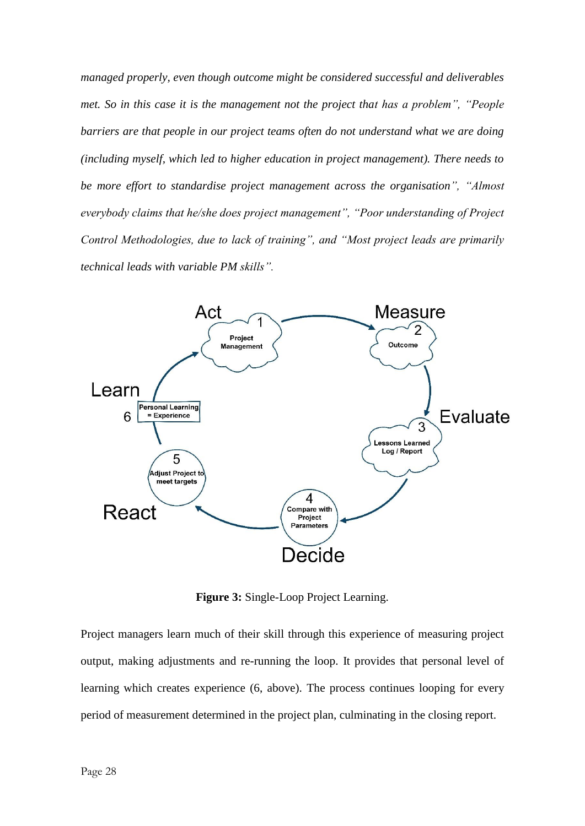*managed properly, even though outcome might be considered successful and deliverables met. So in this case it is the management not the project that has a problem", "People barriers are that people in our project teams often do not understand what we are doing (including myself, which led to higher education in project management). There needs to be more effort to standardise project management across the organisation", "Almost everybody claims that he/she does project management", "Poor understanding of Project Control Methodologies, due to lack of training", and "Most project leads are primarily technical leads with variable PM skills".*



**Figure 3:** Single-Loop Project Learning.

Project managers learn much of their skill through this experience of measuring project output, making adjustments and re-running the loop. It provides that personal level of learning which creates experience (6, above). The process continues looping for every period of measurement determined in the project plan, culminating in the closing report.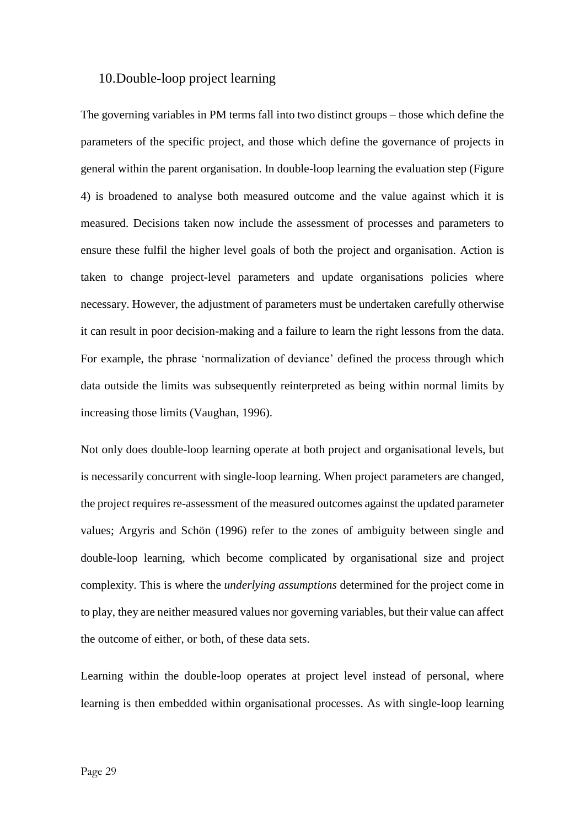## 10.Double-loop project learning

The governing variables in PM terms fall into two distinct groups – those which define the parameters of the specific project, and those which define the governance of projects in general within the parent organisation. In double-loop learning the evaluation step (Figure 4) is broadened to analyse both measured outcome and the value against which it is measured. Decisions taken now include the assessment of processes and parameters to ensure these fulfil the higher level goals of both the project and organisation. Action is taken to change project-level parameters and update organisations policies where necessary. However, the adjustment of parameters must be undertaken carefully otherwise it can result in poor decision-making and a failure to learn the right lessons from the data. For example, the phrase 'normalization of deviance' defined the process through which data outside the limits was subsequently reinterpreted as being within normal limits by increasing those limits (Vaughan, 1996).

Not only does double-loop learning operate at both project and organisational levels, but is necessarily concurrent with single-loop learning. When project parameters are changed, the project requires re-assessment of the measured outcomes against the updated parameter values; Argyris and Schön (1996) refer to the zones of ambiguity between single and double-loop learning, which become complicated by organisational size and project complexity. This is where the *underlying assumptions* determined for the project come in to play, they are neither measured values nor governing variables, but their value can affect the outcome of either, or both, of these data sets.

Learning within the double-loop operates at project level instead of personal, where learning is then embedded within organisational processes. As with single-loop learning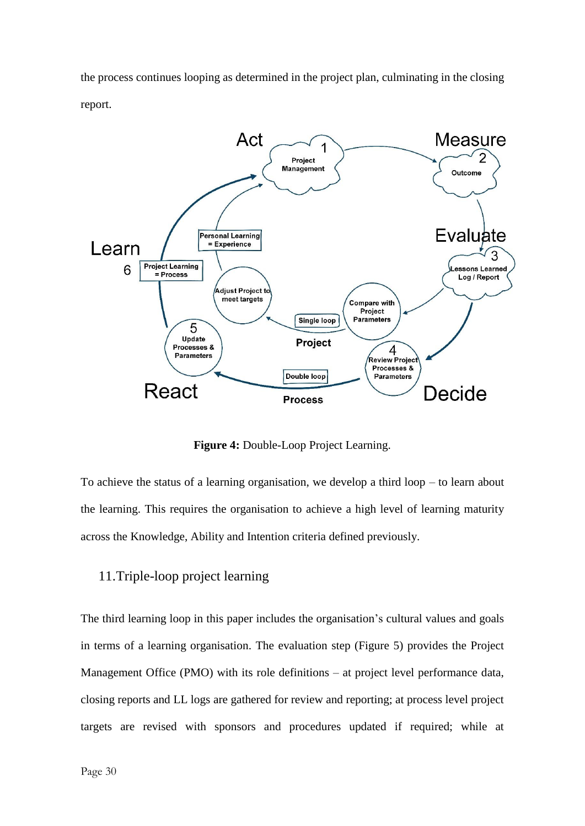the process continues looping as determined in the project plan, culminating in the closing report.



**Figure 4:** Double-Loop Project Learning.

To achieve the status of a learning organisation, we develop a third loop – to learn about the learning. This requires the organisation to achieve a high level of learning maturity across the Knowledge, Ability and Intention criteria defined previously.

## 11.Triple-loop project learning

The third learning loop in this paper includes the organisation's cultural values and goals in terms of a learning organisation. The evaluation step (Figure 5) provides the Project Management Office (PMO) with its role definitions – at project level performance data, closing reports and LL logs are gathered for review and reporting; at process level project targets are revised with sponsors and procedures updated if required; while at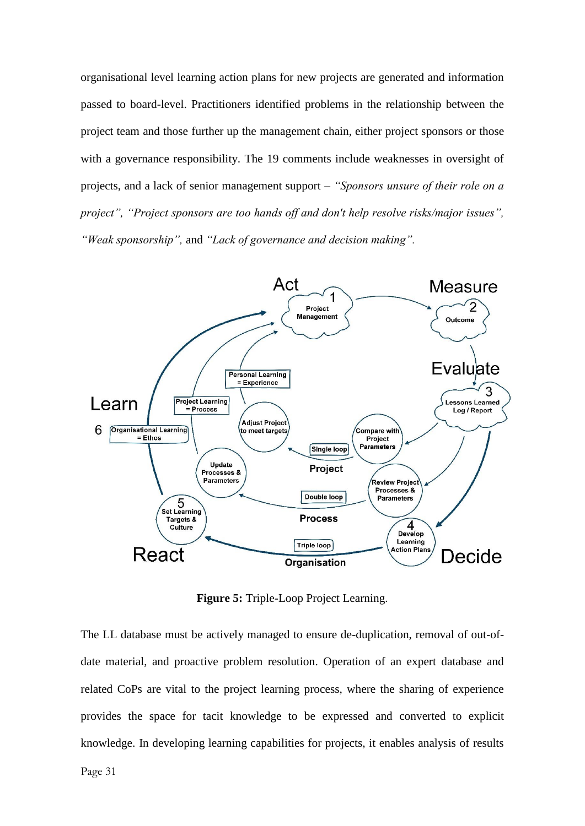organisational level learning action plans for new projects are generated and information passed to board-level. Practitioners identified problems in the relationship between the project team and those further up the management chain, either project sponsors or those with a governance responsibility. The 19 comments include weaknesses in oversight of projects, and a lack of senior management support – *"Sponsors unsure of their role on a project", "Project sponsors are too hands off and don't help resolve risks/major issues", "Weak sponsorship",* and *"Lack of governance and decision making".*



**Figure 5:** Triple-Loop Project Learning.

The LL database must be actively managed to ensure de-duplication, removal of out-ofdate material, and proactive problem resolution. Operation of an expert database and related CoPs are vital to the project learning process, where the sharing of experience provides the space for tacit knowledge to be expressed and converted to explicit knowledge. In developing learning capabilities for projects, it enables analysis of results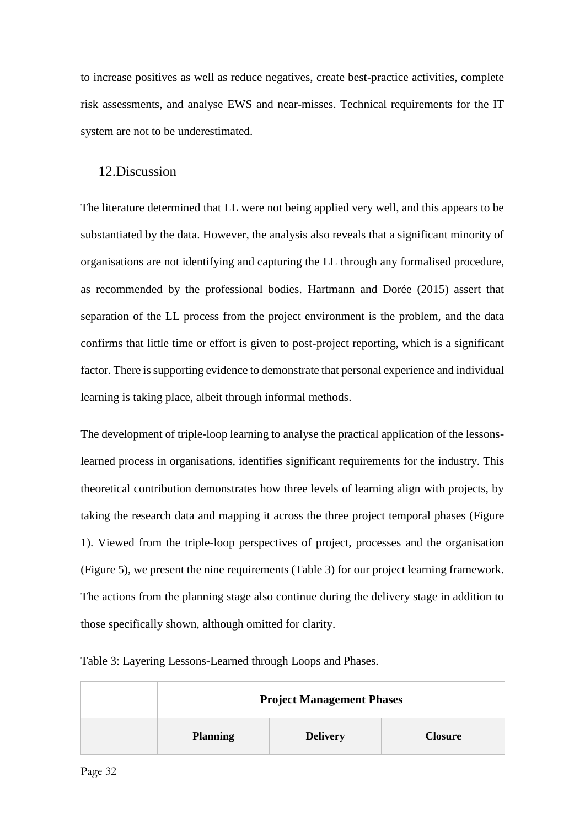to increase positives as well as reduce negatives, create best-practice activities, complete risk assessments, and analyse EWS and near-misses. Technical requirements for the IT system are not to be underestimated.

## 12.Discussion

The literature determined that LL were not being applied very well, and this appears to be substantiated by the data. However, the analysis also reveals that a significant minority of organisations are not identifying and capturing the LL through any formalised procedure, as recommended by the professional bodies. Hartmann and Dorée (2015) assert that separation of the LL process from the project environment is the problem, and the data confirms that little time or effort is given to post-project reporting, which is a significant factor. There is supporting evidence to demonstrate that personal experience and individual learning is taking place, albeit through informal methods.

The development of triple-loop learning to analyse the practical application of the lessonslearned process in organisations, identifies significant requirements for the industry. This theoretical contribution demonstrates how three levels of learning align with projects, by taking the research data and mapping it across the three project temporal phases (Figure 1). Viewed from the triple-loop perspectives of project, processes and the organisation (Figure 5), we present the nine requirements (Table 3) for our project learning framework. The actions from the planning stage also continue during the delivery stage in addition to those specifically shown, although omitted for clarity.

| <b>Project Management Phases</b> |                 |                |
|----------------------------------|-----------------|----------------|
| <b>Planning</b>                  | <b>Delivery</b> | <b>Closure</b> |

Table 3: Layering Lessons-Learned through Loops and Phases.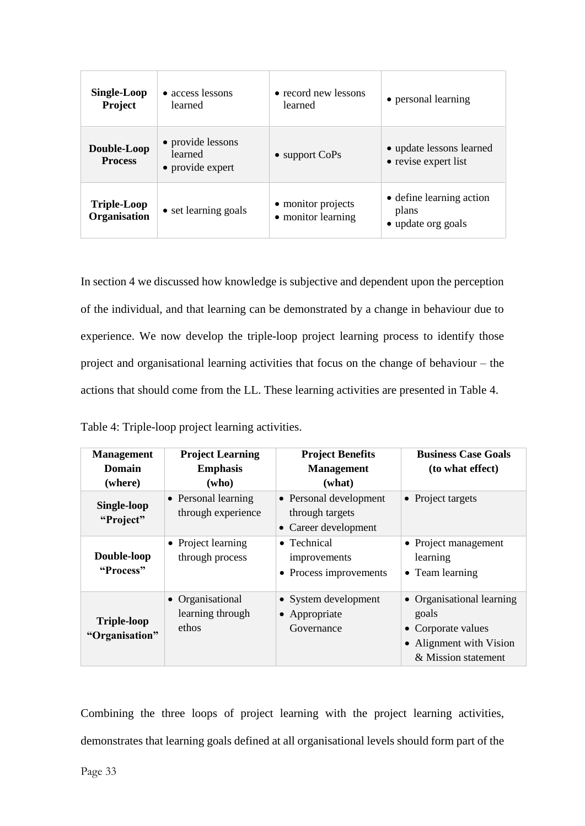| <b>Single-Loop</b><br>Project      | • access lessons<br>learned                      | • record new lessons<br>learned          | • personal learning                                     |
|------------------------------------|--------------------------------------------------|------------------------------------------|---------------------------------------------------------|
| Double-Loop<br><b>Process</b>      | • provide lessons<br>learned<br>• provide expert | $\bullet$ support CoPs                   | • update lessons learned<br>• revise expert list        |
| <b>Triple-Loop</b><br>Organisation | • set learning goals                             | • monitor projects<br>• monitor learning | • define learning action<br>plans<br>• update org goals |

In section 4 we discussed how knowledge is subjective and dependent upon the perception of the individual, and that learning can be demonstrated by a change in behaviour due to experience. We now develop the triple-loop project learning process to identify those project and organisational learning activities that focus on the change of behaviour – the actions that should come from the LL. These learning activities are presented in Table 4.

| Table 4: Triple-loop project learning activities. |  |  |  |  |
|---------------------------------------------------|--|--|--|--|
|---------------------------------------------------|--|--|--|--|

| <b>Management</b><br>Domain<br>(where) | <b>Project Learning</b><br><b>Emphasis</b><br>(who) | <b>Project Benefits</b><br><b>Management</b><br>(what)            | <b>Business Case Goals</b><br>(to what effect)                                                           |
|----------------------------------------|-----------------------------------------------------|-------------------------------------------------------------------|----------------------------------------------------------------------------------------------------------|
| Single-loop<br>"Project"               | • Personal learning<br>through experience           | • Personal development<br>through targets<br>• Career development | • Project targets                                                                                        |
| Double-loop<br>"Process"               | • Project learning<br>through process               | $\bullet$ Technical<br>improvements<br>• Process improvements     | • Project management<br>learning<br>• Team learning                                                      |
| <b>Triple-loop</b><br>"Organisation"   | • Organisational<br>learning through<br>ethos       | • System development<br>• Appropriate<br>Governance               | • Organisational learning<br>goals<br>• Corporate values<br>Alignment with Vision<br>& Mission statement |

Combining the three loops of project learning with the project learning activities, demonstrates that learning goals defined at all organisational levels should form part of the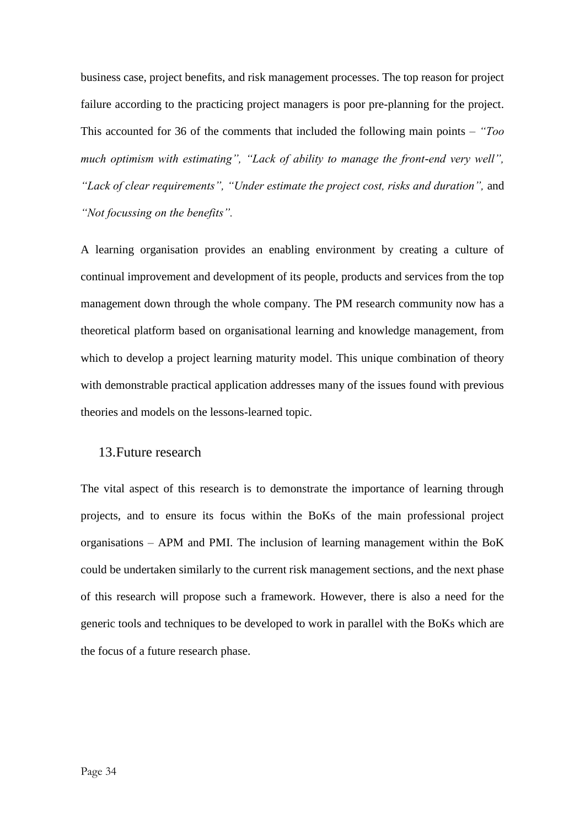business case, project benefits, and risk management processes. The top reason for project failure according to the practicing project managers is poor pre-planning for the project. This accounted for 36 of the comments that included the following main points – *"Too much optimism with estimating", "Lack of ability to manage the front-end very well", "Lack of clear requirements", "Under estimate the project cost, risks and duration",* and *"Not focussing on the benefits".*

A learning organisation provides an enabling environment by creating a culture of continual improvement and development of its people, products and services from the top management down through the whole company. The PM research community now has a theoretical platform based on organisational learning and knowledge management, from which to develop a project learning maturity model. This unique combination of theory with demonstrable practical application addresses many of the issues found with previous theories and models on the lessons-learned topic.

## 13.Future research

The vital aspect of this research is to demonstrate the importance of learning through projects, and to ensure its focus within the BoKs of the main professional project organisations – APM and PMI. The inclusion of learning management within the BoK could be undertaken similarly to the current risk management sections, and the next phase of this research will propose such a framework. However, there is also a need for the generic tools and techniques to be developed to work in parallel with the BoKs which are the focus of a future research phase.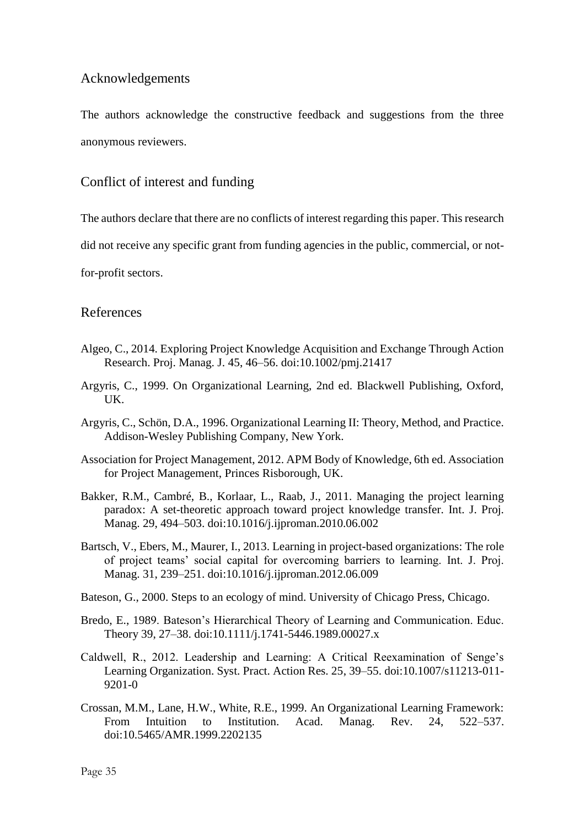# Acknowledgements

The authors acknowledge the constructive feedback and suggestions from the three anonymous reviewers.

# Conflict of interest and funding

The authors declare that there are no conflicts of interest regarding this paper. This research

did not receive any specific grant from funding agencies in the public, commercial, or not-

for-profit sectors.

## References

- Algeo, C., 2014. Exploring Project Knowledge Acquisition and Exchange Through Action Research. Proj. Manag. J. 45, 46–56. doi:10.1002/pmj.21417
- Argyris, C., 1999. On Organizational Learning, 2nd ed. Blackwell Publishing, Oxford, UK.
- Argyris, C., Schön, D.A., 1996. Organizational Learning II: Theory, Method, and Practice. Addison-Wesley Publishing Company, New York.
- Association for Project Management, 2012. APM Body of Knowledge, 6th ed. Association for Project Management, Princes Risborough, UK.
- Bakker, R.M., Cambré, B., Korlaar, L., Raab, J., 2011. Managing the project learning paradox: A set-theoretic approach toward project knowledge transfer. Int. J. Proj. Manag. 29, 494–503. doi:10.1016/j.ijproman.2010.06.002
- Bartsch, V., Ebers, M., Maurer, I., 2013. Learning in project-based organizations: The role of project teams' social capital for overcoming barriers to learning. Int. J. Proj. Manag. 31, 239–251. doi:10.1016/j.ijproman.2012.06.009
- Bateson, G., 2000. Steps to an ecology of mind. University of Chicago Press, Chicago.
- Bredo, E., 1989. Bateson's Hierarchical Theory of Learning and Communication. Educ. Theory 39, 27–38. doi:10.1111/j.1741-5446.1989.00027.x
- Caldwell, R., 2012. Leadership and Learning: A Critical Reexamination of Senge's Learning Organization. Syst. Pract. Action Res. 25, 39–55. doi:10.1007/s11213-011- 9201-0
- Crossan, M.M., Lane, H.W., White, R.E., 1999. An Organizational Learning Framework: From Intuition to Institution. Acad. Manag. Rev. 24, 522–537. doi:10.5465/AMR.1999.2202135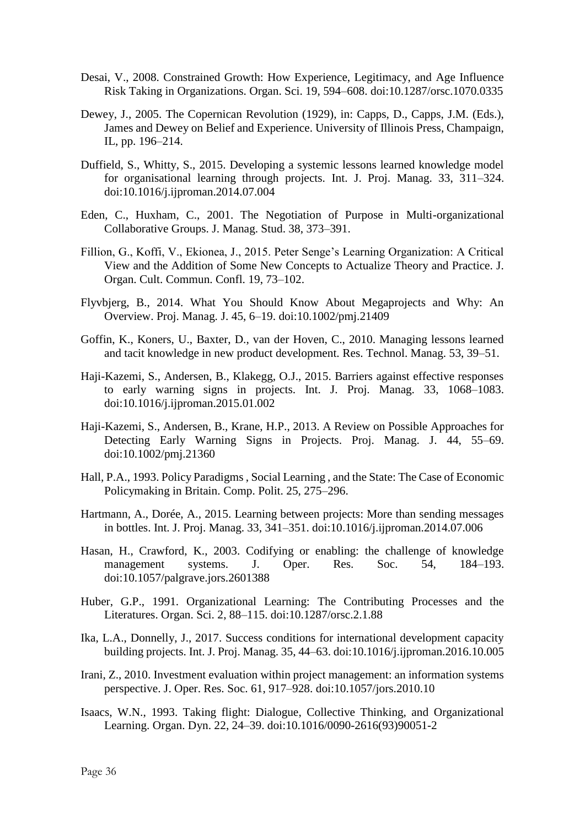- Desai, V., 2008. Constrained Growth: How Experience, Legitimacy, and Age Influence Risk Taking in Organizations. Organ. Sci. 19, 594–608. doi:10.1287/orsc.1070.0335
- Dewey, J., 2005. The Copernican Revolution (1929), in: Capps, D., Capps, J.M. (Eds.), James and Dewey on Belief and Experience. University of Illinois Press, Champaign, IL, pp. 196–214.
- Duffield, S., Whitty, S., 2015. Developing a systemic lessons learned knowledge model for organisational learning through projects. Int. J. Proj. Manag. 33, 311–324. doi:10.1016/j.ijproman.2014.07.004
- Eden, C., Huxham, C., 2001. The Negotiation of Purpose in Multi-organizational Collaborative Groups. J. Manag. Stud. 38, 373–391.
- Fillion, G., Koffi, V., Ekionea, J., 2015. Peter Senge's Learning Organization: A Critical View and the Addition of Some New Concepts to Actualize Theory and Practice. J. Organ. Cult. Commun. Confl. 19, 73–102.
- Flyvbjerg, B., 2014. What You Should Know About Megaprojects and Why: An Overview. Proj. Manag. J. 45, 6–19. doi:10.1002/pmj.21409
- Goffin, K., Koners, U., Baxter, D., van der Hoven, C., 2010. Managing lessons learned and tacit knowledge in new product development. Res. Technol. Manag. 53, 39–51.
- Haji-Kazemi, S., Andersen, B., Klakegg, O.J., 2015. Barriers against effective responses to early warning signs in projects. Int. J. Proj. Manag. 33, 1068–1083. doi:10.1016/j.ijproman.2015.01.002
- Haji-Kazemi, S., Andersen, B., Krane, H.P., 2013. A Review on Possible Approaches for Detecting Early Warning Signs in Projects. Proj. Manag. J. 44, 55–69. doi:10.1002/pmj.21360
- Hall, P.A., 1993. Policy Paradigms , Social Learning , and the State: The Case of Economic Policymaking in Britain. Comp. Polit. 25, 275–296.
- Hartmann, A., Dorée, A., 2015. Learning between projects: More than sending messages in bottles. Int. J. Proj. Manag. 33, 341–351. doi:10.1016/j.ijproman.2014.07.006
- Hasan, H., Crawford, K., 2003. Codifying or enabling: the challenge of knowledge management systems. J. Oper. Res. Soc. 54, 184–193. doi:10.1057/palgrave.jors.2601388
- Huber, G.P., 1991. Organizational Learning: The Contributing Processes and the Literatures. Organ. Sci. 2, 88–115. doi:10.1287/orsc.2.1.88
- Ika, L.A., Donnelly, J., 2017. Success conditions for international development capacity building projects. Int. J. Proj. Manag. 35, 44–63. doi:10.1016/j.ijproman.2016.10.005
- Irani, Z., 2010. Investment evaluation within project management: an information systems perspective. J. Oper. Res. Soc. 61, 917–928. doi:10.1057/jors.2010.10
- Isaacs, W.N., 1993. Taking flight: Dialogue, Collective Thinking, and Organizational Learning. Organ. Dyn. 22, 24–39. doi:10.1016/0090-2616(93)90051-2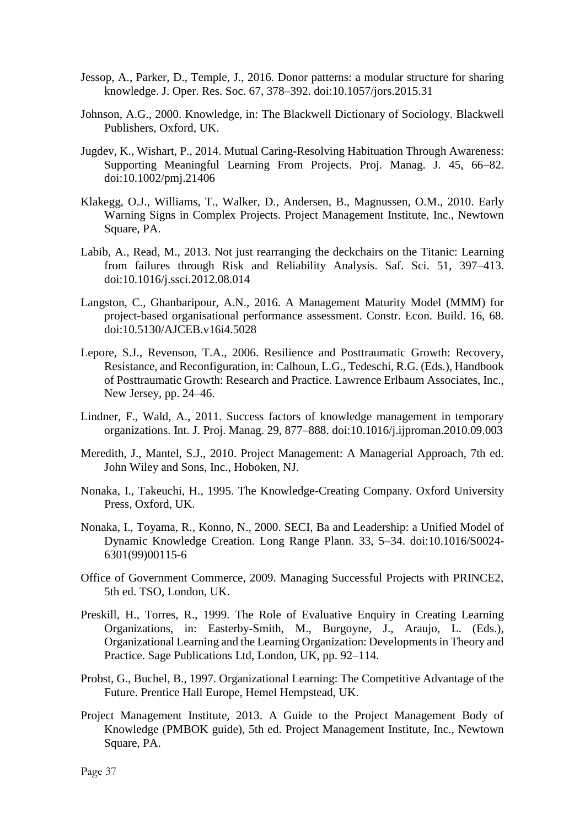- Jessop, A., Parker, D., Temple, J., 2016. Donor patterns: a modular structure for sharing knowledge. J. Oper. Res. Soc. 67, 378–392. doi:10.1057/jors.2015.31
- Johnson, A.G., 2000. Knowledge, in: The Blackwell Dictionary of Sociology. Blackwell Publishers, Oxford, UK.
- Jugdev, K., Wishart, P., 2014. Mutual Caring-Resolving Habituation Through Awareness: Supporting Meaningful Learning From Projects. Proj. Manag. J. 45, 66–82. doi:10.1002/pmj.21406
- Klakegg, O.J., Williams, T., Walker, D., Andersen, B., Magnussen, O.M., 2010. Early Warning Signs in Complex Projects. Project Management Institute, Inc., Newtown Square, PA.
- Labib, A., Read, M., 2013. Not just rearranging the deckchairs on the Titanic: Learning from failures through Risk and Reliability Analysis. Saf. Sci. 51, 397–413. doi:10.1016/j.ssci.2012.08.014
- Langston, C., Ghanbaripour, A.N., 2016. A Management Maturity Model (MMM) for project-based organisational performance assessment. Constr. Econ. Build. 16, 68. doi:10.5130/AJCEB.v16i4.5028
- Lepore, S.J., Revenson, T.A., 2006. Resilience and Posttraumatic Growth: Recovery, Resistance, and Reconfiguration, in: Calhoun, L.G., Tedeschi, R.G. (Eds.), Handbook of Posttraumatic Growth: Research and Practice. Lawrence Erlbaum Associates, Inc., New Jersey, pp. 24–46.
- Lindner, F., Wald, A., 2011. Success factors of knowledge management in temporary organizations. Int. J. Proj. Manag. 29, 877–888. doi:10.1016/j.ijproman.2010.09.003
- Meredith, J., Mantel, S.J., 2010. Project Management: A Managerial Approach, 7th ed. John Wiley and Sons, Inc., Hoboken, NJ.
- Nonaka, I., Takeuchi, H., 1995. The Knowledge-Creating Company. Oxford University Press, Oxford, UK.
- Nonaka, I., Toyama, R., Konno, N., 2000. SECI, Ba and Leadership: a Unified Model of Dynamic Knowledge Creation. Long Range Plann. 33, 5–34. doi:10.1016/S0024- 6301(99)00115-6
- Office of Government Commerce, 2009. Managing Successful Projects with PRINCE2, 5th ed. TSO, London, UK.
- Preskill, H., Torres, R., 1999. The Role of Evaluative Enquiry in Creating Learning Organizations, in: Easterby-Smith, M., Burgoyne, J., Araujo, L. (Eds.), Organizational Learning and the Learning Organization: Developments in Theory and Practice. Sage Publications Ltd, London, UK, pp. 92–114.
- Probst, G., Buchel, B., 1997. Organizational Learning: The Competitive Advantage of the Future. Prentice Hall Europe, Hemel Hempstead, UK.
- Project Management Institute, 2013. A Guide to the Project Management Body of Knowledge (PMBOK guide), 5th ed. Project Management Institute, Inc., Newtown Square, PA.